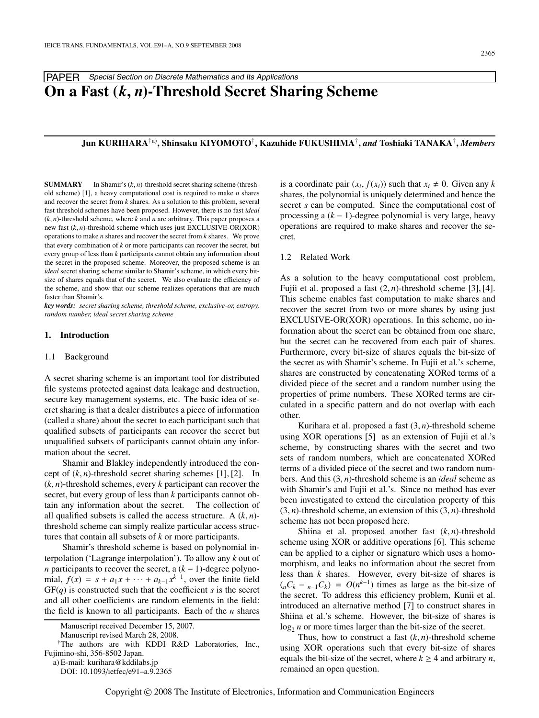# PAPER Special Section on Discrete Mathematics and Its Applications

# **On a Fast (***k*, *n***)-Threshold Secret Sharing Scheme**

# **Jun KURIHARA**†a)**, Shinsaku KIYOMOTO**†**, Kazuhide FUKUSHIMA**†**,** *and* **Toshiaki TANAKA**†**,** *Members*

**SUMMARY** In Shamir's  $(k, n)$ -threshold secret sharing scheme (thresh-old scheme) [1], a heavy computational cost is required to make *n* shares and recover the secret from *k* shares. As a solution to this problem, several fast threshold schemes have been proposed. However, there is no fast *ideal*  $(k, n)$ -threshold scheme, where  $k$  and  $n$  are arbitrary. This paper proposes a new fast (*k*, *<sup>n</sup>*)-threshold scheme which uses just EXCLUSIVE-OR(XOR) operations to make *n* shares and recover the secret from *k* shares. We prove that every combination of *k* or more participants can recover the secret, but every group of less than *k* participants cannot obtain any information about the secret in the proposed scheme. Moreover, the proposed scheme is an *ideal* secret sharing scheme similar to Shamir's scheme, in which every bitsize of shares equals that of the secret. We also evaluate the efficiency of the scheme, and show that our scheme realizes operations that are much faster than Shamir's.

*key words: secret sharing scheme, threshold scheme, exclusive-or, entropy, random number, ideal secret sharing scheme*

# **1. Introduction**

## 1.1 Background

A secret sharing scheme is an important tool for distributed file systems protected against data leakage and destruction, secure key management systems, etc. The basic idea of secret sharing is that a dealer distributes a piece of information (called a share) about the secret to each participant such that qualified subsets of participants can recover the secret but unqualified subsets of participants cannot obtain any information about the secret.

Shamir and Blakley independently introduced the concept of  $(k, n)$ -threshold secret sharing schemes [1], [2]. In (*k*, *<sup>n</sup>*)-threshold schemes, every *<sup>k</sup>* participant can recover the secret, but every group of less than *k* participants cannot obtain any information about the secret. The collection of all qualified subsets is called the access structure. A  $(k, n)$ threshold scheme can simply realize particular access structures that contain all subsets of *k* or more participants.

Shamir's threshold scheme is based on polynomial interpolation ('Lagrange interpolation'). To allow any *k* out of *n* participants to recover the secret, a ( $k - 1$ )-degree polynomial,  $f(x) = s + a_1 x + \cdots + a_{k-1} x^{k-1}$ , over the finite field  $GF(q)$  is constructed such that the coefficient *s* is the secret and all other coefficients are random elements in the field: the field is known to all participants. Each of the *n* shares

†The authors are with KDDI R&D Laboratories, Inc., Fujimino-shi, 356-8502 Japan.

DOI: 10.1093/ietfec/e91–a.9.2365

is a coordinate pair  $(x_i, f(x_i))$  such that  $x_i \neq 0$ . Given any *k* shares the polynomial is uniquely determined and hence the shares, the polynomial is uniquely determined and hence the secret *s* can be computed. Since the computational cost of processing a  $(k - 1)$ -degree polynomial is very large, heavy operations are required to make shares and recover the secret.

## 1.2 Related Work

As a solution to the heavy computational cost problem, Fujii et al. proposed a fast (2, *<sup>n</sup>*)-threshold scheme [3], [4]. This scheme enables fast computation to make shares and recover the secret from two or more shares by using just EXCLUSIVE-OR(XOR) operations. In this scheme, no information about the secret can be obtained from one share, but the secret can be recovered from each pair of shares. Furthermore, every bit-size of shares equals the bit-size of the secret as with Shamir's scheme. In Fujii et al.'s scheme, shares are constructed by concatenating XORed terms of a divided piece of the secret and a random number using the properties of prime numbers. These XORed terms are circulated in a specific pattern and do not overlap with each other.

Kurihara et al. proposed a fast (3, *<sup>n</sup>*)-threshold scheme using XOR operations [5] as an extension of Fujii et al.'s scheme, by constructing shares with the secret and two sets of random numbers, which are concatenated XORed terms of a divided piece of the secret and two random numbers. And this (3, *<sup>n</sup>*)-threshold scheme is an *ideal* scheme as with Shamir's and Fujii et al.'s. Since no method has ever been investigated to extend the circulation property of this (3, *<sup>n</sup>*)-threshold scheme, an extension of this (3, *<sup>n</sup>*)-threshold scheme has not been proposed here.

Shiina et al. proposed another fast  $(k, n)$ -threshold scheme using XOR or additive operations [6]. This scheme can be applied to a cipher or signature which uses a homomorphism, and leaks no information about the secret from less than *k* shares. However, every bit-size of shares is  $(nC_k - n_1C_k) = O(n^{k-1})$  times as large as the bit-size of the secret. To address this efficiency problem, Kunii et al. introduced an alternative method [7] to construct shares in Shiina et al.'s scheme. However, the bit-size of shares is  $log<sub>2</sub> n$  or more times larger than the bit-size of the secret.

Thus, how to construct a fast  $(k, n)$ -threshold scheme using XOR operations such that every bit-size of shares equals the bit-size of the secret, where  $k \geq 4$  and arbitrary *n*, remained an open question.

Manuscript received December 15, 2007.

Manuscript revised March 28, 2008.

a) E-mail: kurihara@kddilabs.jp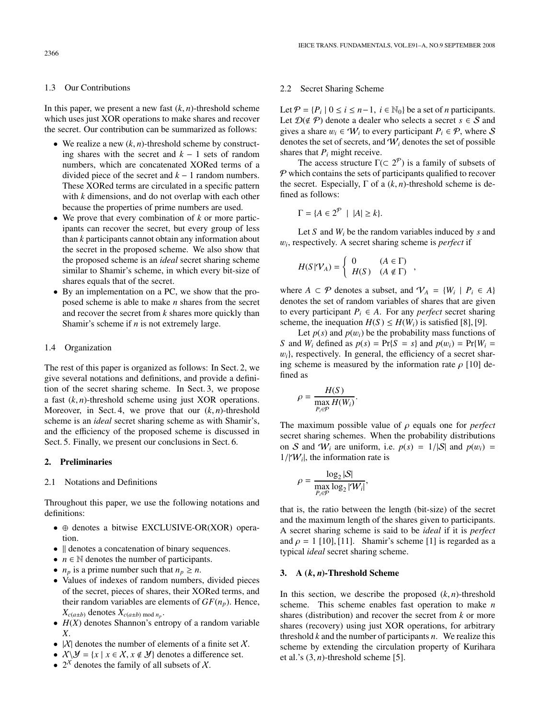## 1.3 Our Contributions

In this paper, we present a new fast  $(k, n)$ -threshold scheme which uses just XOR operations to make shares and recover the secret. Our contribution can be summarized as follows:

- We realize a new  $(k, n)$ -threshold scheme by constructing shares with the secret and  $k - 1$  sets of random numbers, which are concatenated XORed terms of a divided piece of the secret and  $k − 1$  random numbers. These XORed terms are circulated in a specific pattern with *k* dimensions, and do not overlap with each other because the properties of prime numbers are used.
- We prove that every combination of *k* or more participants can recover the secret, but every group of less than *k* participants cannot obtain any information about the secret in the proposed scheme. We also show that the proposed scheme is an *ideal* secret sharing scheme similar to Shamir's scheme, in which every bit-size of shares equals that of the secret.
- By an implementation on a PC, we show that the proposed scheme is able to make *n* shares from the secret and recover the secret from *k* shares more quickly than Shamir's scheme if *n* is not extremely large.

## 1.4 Organization

The rest of this paper is organized as follows: In Sect. 2, we give several notations and definitions, and provide a definition of the secret sharing scheme. In Sect. 3, we propose a fast (*k*, *<sup>n</sup>*)-threshold scheme using just XOR operations. Moreover, in Sect. 4, we prove that our  $(k, n)$ -threshold scheme is an *ideal* secret sharing scheme as with Shamir's, and the efficiency of the proposed scheme is discussed in Sect. 5. Finally, we present our conclusions in Sect. 6.

# **2. Preliminaries**

# 2.1 Notations and Definitions

Throughout this paper, we use the following notations and definitions:

- ⊕ denotes a bitwise EXCLUSIVE-OR(XOR) operation.
- $\parallel$  denotes a concatenation of binary sequences.
- $n \in \mathbb{N}$  denotes the number of participants.
- $n_p$  is a prime number such that  $n_p \geq n$ .
- Values of indexes of random numbers, divided pieces of the secret, pieces of shares, their XORed terms, and their random variables are elements of  $GF(n_p)$ . Hence,  $X_{c(a \pm b)}$  denotes  $X_{c(a \pm b) \bmod n_p}$ .
- $\bullet$   $H(X)$  denotes Shannon's entropy of a random variable *X*.
- $|X|$  denotes the number of elements of a finite set X.
- $X \setminus Y = \{x \mid x \in X, x \notin Y\}$  denotes a difference set.
- $2^{\lambda}$  denotes the family of all subsets of X.

# 2.2 Secret Sharing Scheme

Let  $P = {P_i | 0 \le i \le n-1, i \in \mathbb{N}_0}$  be a set of *n* participants. Let  $\mathcal{D}(\notin \mathcal{P})$  denote a dealer who selects a secret  $s \in \mathcal{S}$  and gives a share  $w_i \in W_i$  to every participant  $P_i \in \mathcal{P}$ , where S denotes the set of secrets, and  $W_i$  denotes the set of possible shares that *Pi* might receive.

The access structure  $\Gamma(\subset 2^{\mathcal{P}})$  is a family of subsets of  $P$  which contains the sets of participants qualified to recover the secret. Especially,  $\Gamma$  of a  $(k, n)$ -threshold scheme is defined as follows:

$$
\Gamma = \{ A \in 2^{\mathcal{P}} \: \mid \: |A| \geq k \}.
$$

Let *S* and *Wi* be the random variables induced by *s* and w*i*, respectively. A secret sharing scheme is *perfect* if

$$
H(S|\mathcal{V}_A) = \begin{cases} 0 & (A \in \Gamma) \\ H(S) & (A \notin \Gamma) \end{cases}
$$

where  $A \subset \mathcal{P}$  denotes a subset, and  $\mathcal{V}_A = \{W_i \mid P_i \in A\}$ denotes the set of random variables of shares that are given to every participant  $P_i \in A$ . For any *perfect* secret sharing scheme, the inequation  $H(S) \leq H(W_i)$  is satisfied [8], [9].

Let  $p(s)$  and  $p(w_i)$  be the probability mass functions of *S* and *W<sub>i</sub>* defined as  $p(s) = Pr{S = s}$  and  $p(w_i) = Pr{W_i = s}$  $w_i$ , respectively. In general, the efficiency of a secret sharing scheme is measured by the information rate  $\rho$  [10] defined as

$$
\rho = \frac{H(S)}{\max_{P_i \in \mathcal{P}} H(W_i)}.
$$

The maximum possible value of ρ equals one for *perfect* secret sharing schemes. When the probability distributions on S and  $W_i$  are uniform, i.e.  $p(s) = 1/|S|$  and  $p(w_i) = 1/|S|$  $1/|\mathcal{W}_i|$ , the information rate is

$$
\rho = \frac{\log_2 |\mathcal{S}|}{\max_{P_i \in \mathcal{P}} \log_2 |\mathcal{W}_i|},
$$

that is, the ratio between the length (bit-size) of the secret and the maximum length of the shares given to participants. A secret sharing scheme is said to be *ideal* if it is *perfect* and  $\rho = 1$  [10], [11]. Shamir's scheme [1] is regarded as a typical *ideal* secret sharing scheme.

# **3. A (***k*, *n***)-Threshold Scheme**

In this section, we describe the proposed  $(k, n)$ -threshold scheme. This scheme enables fast operation to make *n* shares (distribution) and recover the secret from *k* or more shares (recovery) using just XOR operations, for arbitrary threshold *k* and the number of participants *n*. We realize this scheme by extending the circulation property of Kurihara et al.'s  $(3, n)$ -threshold scheme [5].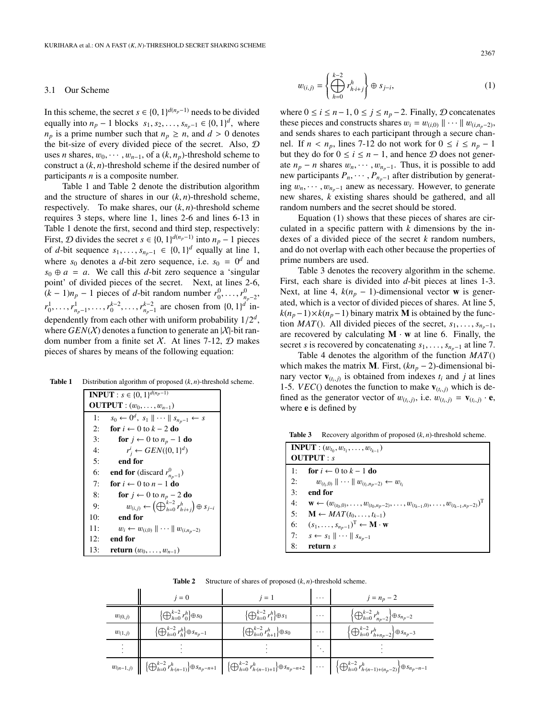## 3.1 Our Scheme

In this scheme, the secret *s* ∈ {0, 1}<sup>*d*(*n<sub>p</sub>*−1)</sup> needs to be divided equally into *n* − 1 blocks s, s equally into  $n_p - 1$  blocks  $s_1, s_2, \ldots, s_{n_p-1} \in \{0, 1\}^d$ , where *n* is a prime number such that  $n \ge n$  and  $d > 0$  denotes *n<sub>p</sub>* is a prime number such that  $n_p \ge n$ , and  $d > 0$  denotes the bit-size of every divided piece of the secret. Also,  $D$ uses *n* shares,  $w_0, \dots, w_{n-1}$ , of a  $(k, n_n)$ -threshold scheme to construct a (*k*, *<sup>n</sup>*)-threshold scheme if the desired number of participants *n* is a composite number.

Table 1 and Table 2 denote the distribution algorithm and the structure of shares in our  $(k, n)$ -threshold scheme, respectively. To make shares, our  $(k, n)$ -threshold scheme requires 3 steps, where line 1, lines 2-6 and lines 6-13 in Table 1 denote the first, second and third step, respectively: First,  $\mathcal{D}$  divides the secret  $s \in \{0, 1\}^{d(n_p-1)}$  into  $n_p - 1$  pieces of *d*-bit sequence  $s_1, \dots, s_{p-1} \in \{0, 1\}^d$  equally at line 1 of *d*-bit sequence  $s_1, \ldots, s_{n_p-1} \in \{0, 1\}^d$  equally at line 1,<br>where *s*<sub>∞</sub> denotes a *d* bit zero sequence i.e.  $s_n = 0^d$  and where  $s_0$  denotes a *d*-bit zero sequence, i.e.  $s_0 = 0^d$  and  $s_0 \oplus a = a$ . We call this *d*-bit zero sequence a 'singular point' of divided pieces of the secret. Next, at lines 2-6,  $(k-1)n_p - 1$  pieces of *d*-bit random number  $r_0^0, \ldots, r_{n_p-2}^0$ ,<br> *n*<sub>0</sub>, *n*<sub>0</sub>, *n*<sub>0</sub>, *n*<sub>0</sub>, *n*<sub>0</sub>, *n*<sup>0</sup>, *n*<sup>0</sup>, *n*<sup>0</sup>, *n*<sup>1</sup>, *n*<sup>1</sup>, *n*<sup>1</sup>, *n*<sup>1</sup>, *n*<sup>1</sup>, *n*<sup>1</sup>, *n*<sup>1</sup>, *n*<sup>1</sup>, *n*<sup>1</sup>, *n*<sup>1</sup>, *n*<sup>1</sup>,  $r_0^1, \ldots, r_{n_p-1}^1, \ldots, r_0^{k-2}, \ldots, r_{n_p-1}^{k-2}$  are chosen from {0, 1}<sup>*d*</sup> independently from each other with uniform probability 1/2*d*, where  $GEN(X)$  denotes a function to generate an  $|X|$ -bit random number from a finite set  $X$ . At lines 7-12,  $D$  makes pieces of shares by means of the following equation:

| Table 1 | Distribution algorithm of proposed $(k, n)$ -threshold scheme. |
|---------|----------------------------------------------------------------|
|         |                                                                |

| <b>INPUT</b> : $s \in \{0, 1\}^{d(n_p-1)}$ |                                                                                       |  |
|--------------------------------------------|---------------------------------------------------------------------------------------|--|
|                                            | $\text{OUTPUT}: (w_0, \ldots, w_{n-1})$                                               |  |
| 1:                                         | $s_0 \leftarrow 0^d, s_1 \parallel \cdots \parallel s_{n_p-1} \leftarrow s$           |  |
| 2:                                         | for $i \leftarrow 0$ to $k - 2$ do                                                    |  |
| 3:                                         | for $j \leftarrow 0$ to $n_p - 1$ do                                                  |  |
| 4:                                         | $r_i^i \leftarrow GEN(\{0, 1\}^d)$                                                    |  |
| 5:                                         | end for                                                                               |  |
| 6:                                         | end for (discard $r_{n_n-1}^0$ )                                                      |  |
| 7:                                         | for $i \leftarrow 0$ to $n-1$ do                                                      |  |
| 8:                                         | for $j \leftarrow 0$ to $n_p - 2$ do                                                  |  |
| 9:                                         | $w_{(i,j)} \leftarrow \left(\bigoplus_{h=0}^{k-2} r_{h:i+j}^h \right) \oplus s_{j-i}$ |  |
| 10:                                        | end for                                                                               |  |
| 11:                                        | $w_i \leftarrow w_{(i,0)} \ \cdots \  w_{(i,n_p-2)}$                                  |  |
| 12:                                        | end for                                                                               |  |
| 13:                                        | <b>return</b> $(w_0, \ldots, w_{n-1})$                                                |  |
|                                            |                                                                                       |  |

$$
w_{(i,j)} = \left\{ \bigoplus_{h=0}^{k-2} r_{h:i+j}^h \right\} \oplus s_{j-i},
$$
 (1)

where  $0 \le i \le n-1, 0 \le j \le n_p - 2$ . Finally, *D* concatenates these pieces and constructs shares  $w_i = w_{(i,0)} || \cdots || w_{(i,n_p-2)}$ , and sends shares to each participant through a secure channel. If  $n < n_p$ , lines 7-12 do not work for  $0 \le i \le n_p - 1$ but they do for  $0 \le i \le n - 1$ , and hence  $D$  does not generate  $n_p - n$  shares  $w_n, \dots, w_{n_p-1}$ . Thus, it is possible to add new participants  $P_n$ ,  $\cdots$ ,  $P_{n_p-1}$  after distribution by generating  $w_n, \dots, w_{n_p-1}$  anew as necessary. However, to generate new shares, *k* existing shares should be gathered, and all random numbers and the secret should be stored.

Equation (1) shows that these pieces of shares are circulated in a specific pattern with *k* dimensions by the indexes of a divided piece of the secret *k* random numbers, and do not overlap with each other because the properties of prime numbers are used.

Table 3 denotes the recovery algorithm in the scheme. First, each share is divided into *d*-bit pieces at lines 1-3. Next, at line 4,  $k(n_p - 1)$ -dimensional vector **w** is generated, which is a vector of divided pieces of shares. At line 5,  $k(n_p-1) \times k(n_p-1)$  binary matrix **M** is obtained by the function *MAT*(). All divided pieces of the secret,  $s_1, \ldots, s_{n-1}$ , are recovered by calculating  $M \cdot w$  at line 6. Finally, the secret *s* is recovered by concatenating  $s_1, \ldots, s_{n_p-1}$  at line 7.

Table 4 denotes the algorithm of the function *MAT*() which makes the matrix **M**. First,  $(kn_p - 2)$ -dimensional binary vector  $\mathbf{v}_{(t_i, j)}$  is obtained from indexes  $t_i$  and  $j$  at lines 1-5. *VEC*() denotes the function to make  $\mathbf{v}_{(t_i,j)}$  which is defined as the generator vector of  $w_{(t_i, j)}$ , i.e.  $w_{(t_i, j)} = \mathbf{v}_{(t_i, j)} \cdot \mathbf{e}$ , where **e** is defined by

**Table 3** Recovery algorithm of proposed (*k*, *<sup>n</sup>*)-threshold scheme.

| <b>INPUT</b> : $(w_{t_0}, w_{t_1}, \ldots, w_{t_{k-1}})$<br>OUTPUT: s |                                                                                                                                      |  |
|-----------------------------------------------------------------------|--------------------------------------------------------------------------------------------------------------------------------------|--|
| 1:                                                                    | for $i \leftarrow 0$ to $k - 1$ do                                                                                                   |  |
| 2:                                                                    | $w_{(t_i,0)}$ $\ \cdots\ $ $w_{(t_i,n_n-2)} \leftarrow w_{t_i}$                                                                      |  |
| 3:                                                                    | end for                                                                                                                              |  |
|                                                                       | 4: $\mathbf{w} \leftarrow (w_{(t_0,0)}, \ldots, w_{(t_0,n_p-2)}, \ldots, w_{(t_{k-1},0)}, \ldots, w_{(t_{k-1},n_p-2)})^{\mathrm{T}}$ |  |
| 5:                                                                    | $\mathbf{M} \leftarrow \text{MAT}(t_0, \ldots, t_{k-1})$                                                                             |  |
|                                                                       | 6: $(s_1, \ldots, s_{n_p-1})^T \leftarrow \mathbf{M} \cdot \mathbf{w}$                                                               |  |
|                                                                       | 7: $s \leftarrow s_1 \parallel \cdots \parallel s_{n_p-1}$                                                                           |  |
| 8:                                                                    | return $s$                                                                                                                           |  |

**Table 2** Structure of shares of proposed (*k*, *<sup>n</sup>*)-threshold scheme.

|             | $i=0$                                              | $i=1$                                            | . | $j = n_p - 2$                                                                                                                                                                                                                                                                                                |
|-------------|----------------------------------------------------|--------------------------------------------------|---|--------------------------------------------------------------------------------------------------------------------------------------------------------------------------------------------------------------------------------------------------------------------------------------------------------------|
| $w_{(0,j)}$ | $\{\bigoplus_{h=0}^{k-2} r_0^h\} \oplus s_0$       | $\{\bigoplus_{h=0}^{k-2} r_1^h\} \oplus s_1$     | . | $\left\{\bigoplus_{h=0}^{k-2}r_{n_p-2}^h\right\} \oplus s_{n_p-2}$                                                                                                                                                                                                                                           |
| $w_{(1,j)}$ | $\{\bigoplus_{h=0}^{k-2} r_h^h\} \oplus s_{n_p-1}$ | $\{\bigoplus_{h=0}^{k-2} r_{h+1}^h\} \oplus s_0$ | . | $\left\{\bigoplus_{h=0}^{k-2} r_{h+n_p-2}^h \right\} \oplus s_{n_p-3}$                                                                                                                                                                                                                                       |
|             |                                                    |                                                  |   |                                                                                                                                                                                                                                                                                                              |
|             |                                                    |                                                  |   | $w_{(n-1,j)} \left( \bigoplus_{h=0}^{k-2} r_{h \cdot (n-1)}^h \right) \oplus s_{n_p - n + 1} \left( \left( \bigoplus_{h=0}^{k-2} r_{h \cdot (n-1)+1}^h \right) \oplus s_{n_p - n + 2} \right) \cdots \left( \left( \bigoplus_{h=0}^{k-2} r_{h \cdot (n-1)+(n_p-2)}^h \right) \oplus s_{n_p - n - 1} \right)$ |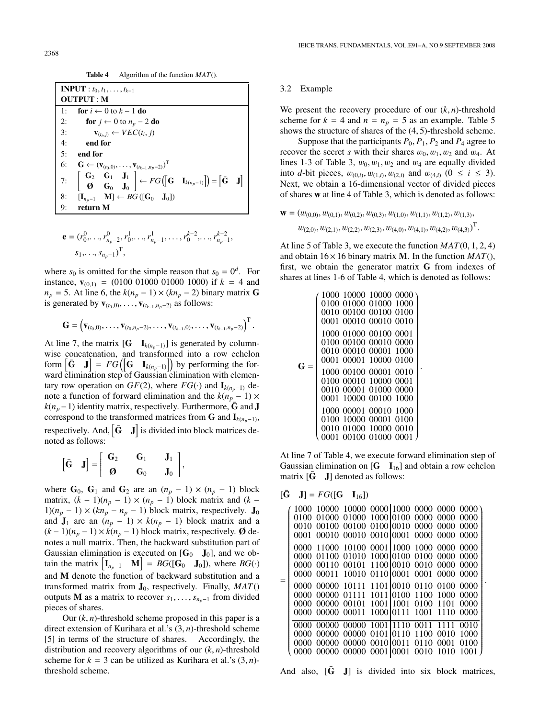**Table 4** Algorithm of the function *MAT*().

| <b>INPUT</b> : $t_0, t_1, \ldots, t_{k-1}$                                                                                                                                                                                                                                                     |  |  |
|------------------------------------------------------------------------------------------------------------------------------------------------------------------------------------------------------------------------------------------------------------------------------------------------|--|--|
| OUTPUT: M                                                                                                                                                                                                                                                                                      |  |  |
| for $i \leftarrow 0$ to $k - 1$ do<br>1:                                                                                                                                                                                                                                                       |  |  |
| 2:<br><b>for</b> <i>j</i> ← 0 to $n_p$ – 2 <b>do</b>                                                                                                                                                                                                                                           |  |  |
| 3:<br>$\mathbf{v}_{(t_i,j)} \leftarrow \text{VEC}(t_i, j)$                                                                                                                                                                                                                                     |  |  |
| 4:<br>end for                                                                                                                                                                                                                                                                                  |  |  |
| 5:<br>end for                                                                                                                                                                                                                                                                                  |  |  |
| 6: $\mathbf{G} \leftarrow (\mathbf{v}_{(t_0,0)}, \ldots, \mathbf{v}_{(t_{k-1},n_p-2)})^{\mathrm{T}}$                                                                                                                                                                                           |  |  |
| 7: $\begin{bmatrix} \mathbf{G}_2 & \mathbf{G}_1 & \mathbf{J}_1 \\ \boldsymbol{\emptyset} & \mathbf{G}_0 & \mathbf{J}_0 \end{bmatrix} \leftarrow FG\left(\begin{bmatrix} \mathbf{G} & \mathbf{I}_{k(n_p-1)} \end{bmatrix}\right) = \begin{bmatrix} \mathbf{\bar{G}} & \mathbf{J} \end{bmatrix}$ |  |  |
| 8:<br>$[\mathbf{I}_{n_n-1} \quad \mathbf{M}] \leftarrow BG([\mathbf{G}_0 \quad \mathbf{J}_0])$                                                                                                                                                                                                 |  |  |
| 9:<br>return M                                                                                                                                                                                                                                                                                 |  |  |

$$
\mathbf{e} = (r_0^0, \dots, r_{n_p-2}^0, r_0^1, \dots, r_{n_p-1}^1, \dots, r_0^{k-2}, \dots, r_{n_p-1}^{k-2},
$$
  

$$
s_1, \dots, s_{n_p-1})^T,
$$

where  $s_0$  is omitted for the simple reason that  $s_0 = 0^d$ . For instance,  $\mathbf{v}_{(0,1)} = (0100\ 01000\ 01000\ 1000)$  if  $k = 4$  and  $n_p = 5$ . At line 6, the  $k(n_p - 1) \times (kn_p - 2)$  binary matrix **G** is generated by  $\mathbf{v}_{(t_0,0)}, \ldots, \mathbf{v}_{(t_{k-1},n_p-2)}$  as follows:

$$
\mathbf{G} = \left(\mathbf{v}_{(t_0,0)},\ldots,\mathbf{v}_{(t_0,n_p-2)},\ldots,\mathbf{v}_{(t_{k-1},0)},\ldots,\mathbf{v}_{(t_{k-1},n_p-2)}\right)^T.
$$

At line 7, the matrix  $[\mathbf{G} \quad \mathbf{I}_{k(n_p-1)}]$  is generated by columnwise concatenation, and transformed into a row echelon  $\begin{bmatrix} \bar{\mathbf{G}} & \mathbf{J} \end{bmatrix} = FG \begin{bmatrix} \mathbf{G} & \mathbf{I}_{k(n_p-1)} \end{bmatrix}$  by performing the forward elimination step of Gaussian elimination with elementary row operation on *GF*(2), where *FG*( $\cdot$ ) and **I**<sub>*k*(*n<sub>p</sub>*−1)</sub> denote a function of forward elimination and the  $k(n_p - 1) \times$  $k(n_p-1)$  identity matrix, respectively. Furthermore,  $\bar{G}$  and **J** correspond to the transformed matrices from **G** and  $\mathbf{I}_{k(n_p-1)}$ , respectively. And,  $\begin{bmatrix} \bar{\mathbf{G}} & \mathbf{J} \end{bmatrix}$  is divided into block matrices denoted as follows:

$$
\begin{bmatrix} \bar{\mathbf{G}} & \mathbf{J} \end{bmatrix} = \begin{bmatrix} \mathbf{G}_2 & \mathbf{G}_1 & \mathbf{J}_1 \\ \mathbf{\emptyset} & \mathbf{G}_0 & \mathbf{J}_0 \end{bmatrix},
$$

where  $\mathbf{G}_0$ ,  $\mathbf{G}_1$  and  $\mathbf{G}_2$  are an  $(n_p - 1) \times (n_p - 1)$  block matrix,  $(k - 1)(n_p - 1) \times (n_p - 1)$  block matrix and  $(k -$ 1)( $n_p$  − 1) × ( $kn_p$  −  $n_p$  − 1) block matrix, respectively. **J**<sub>0</sub> and **J**<sub>1</sub> are an  $(n_p - 1) \times k(n_p - 1)$  block matrix and a  $(k-1)(n_p-1) \times k(n_p-1)$  block matrix, respectively. Ø denotes a null matrix. Then, the backward substitution part of Gaussian elimination is executed on  $[G_0 \quad J_0]$ , and we obtain the matrix  $\begin{bmatrix} \mathbf{I}_{n_p-1} & \mathbf{M} \end{bmatrix} = BG([\mathbf{G}_0 \ \mathbf{J}_0])$ , where  $BG(\cdot)$ and **M** denote the function of backward substitution and a transformed matrix from **J**0, respectively. Finally, *MAT*() outputs **M** as a matrix to recover  $s_1, \ldots, s_{n-1}$  from divided pieces of shares.

Our  $(k, n)$ -threshold scheme proposed in this paper is a direct extension of Kurihara et al.'s (3, *<sup>n</sup>*)-threshold scheme [5] in terms of the structure of shares. Accordingly, the distribution and recovery algorithms of our (*k*, *<sup>n</sup>*)-threshold scheme for  $k = 3$  can be utilized as Kurihara et al.'s  $(3, n)$ threshold scheme.

#### 3.2 Example

We present the recovery procedure of our  $(k, n)$ -threshold scheme for  $k = 4$  and  $n = n_p = 5$  as an example. Table 5 shows the structure of shares of the (4, 5)-threshold scheme.

Suppose that the participants  $P_0$ ,  $P_1$ ,  $P_2$  and  $P_4$  agree to recover the secret *s* with their shares  $w_0$ ,  $w_1$ ,  $w_2$  and  $w_4$ . At lines 1-3 of Table 3,  $w_0$ ,  $w_1$ ,  $w_2$  and  $w_4$  are equally divided into *d*-bit pieces,  $w_{(0,i)}, w_{(1,i)}, w_{(2,i)}$  and  $w_{(4,i)}$  ( $0 \le i \le 3$ ). Next, we obtain a 16-dimensional vector of divided pieces of shares **w** at line 4 of Table 3, which is denoted as follows:

$$
\mathbf{w} = (w_{(0,0)}, w_{(0,1)}, w_{(0,2)}, w_{(0,3)}, w_{(1,0)}, w_{(1,1)}, w_{(1,2)}, w_{(1,3)},
$$
  

$$
w_{(2,0)}, w_{(2,1)}, w_{(2,2)}, w_{(2,3)}, w_{(4,0)}, w_{(4,1)}, w_{(4,2)}, w_{(4,3)})^{\mathrm{T}}.
$$

At line 5 of Table 3, we execute the function *MAT*(0, <sup>1</sup>, <sup>2</sup>, 4) and obtain 16×16 binary matrix **M**. In the function *MAT*(), first, we obtain the generator matrix **G** from indexes of shares at lines 1-6 of Table 4, which is denoted as follows:

|       | 1000 10000 10000 0000 |  |  |
|-------|-----------------------|--|--|
|       |                       |  |  |
|       | 0100 01000 01000 1000 |  |  |
|       | 0010 00100 00100 0100 |  |  |
|       | 0001 00010 00010 0010 |  |  |
|       | 1000 01000 00100 0001 |  |  |
|       | 0100 00100 00010 0000 |  |  |
|       | 0010 00010 00001 1000 |  |  |
|       | 0001 00001 10000 0100 |  |  |
| $G =$ | 1000 00100 00001 0010 |  |  |
|       | 0100 00010 10000 0001 |  |  |
|       | 0010 00001 01000 0000 |  |  |
|       | 0001 10000 00100 1000 |  |  |
|       | 1000 00001 00010 1000 |  |  |
|       | 0100 10000 00001 0100 |  |  |
|       | 0010 01000 10000 0010 |  |  |
|       | -00100-01000-0001     |  |  |

At line 7 of Table 4, we execute forward elimination step of Gaussian elimination on [**G I**16] and obtain a row echelon matrix  $[\bar{G}$   $\bar{J}]$  denoted as follows:

$$
[\bar{\mathbf{G}} \quad \mathbf{J}] = FG([\mathbf{G} \quad \mathbf{I}_{16}])
$$

|        | 0100 01000 01000 100010100 0000 0000 0000 |  |  |      |
|--------|-------------------------------------------|--|--|------|
|        | 0010 00100 00100 010010010 0000 0000 0000 |  |  |      |
|        | 0001 00010 00010 0010 0001 0000 0000 0000 |  |  |      |
|        | 0000 11000 10100 0001 1000 1000 0000 0000 |  |  |      |
| (1000) | 01100 01010 1000 0100 0100 0000 0000      |  |  |      |
|        | 0000 00110 00101 110010010 0010 0000 0000 |  |  |      |
|        | 0000 00011 10010 0110 0001 0001 0000 0000 |  |  |      |
|        | 0000 00000 10111 1101 0010 0110 0100 0000 |  |  |      |
|        | 0000 00000 01111 1011 0100 1100 1000 0000 |  |  |      |
|        | 0000 00000 00101 1001 1001 0100 1101 0000 |  |  |      |
|        | 0000 00000 00011 100010111 1001 1110 0000 |  |  |      |
|        | 0000 00000 00000 1001 1110 0011 1111 0010 |  |  |      |
|        | 0000 00000 00000 0101 0110 1100 0010      |  |  | 1000 |
|        | 0000 00000 00000 001010011 0110 0001 0100 |  |  |      |
|        | 00000 00000 0001 0001 0010 1010 1001      |  |  |      |

And also,  $[\bar{G}$  J is divided into six block matrices,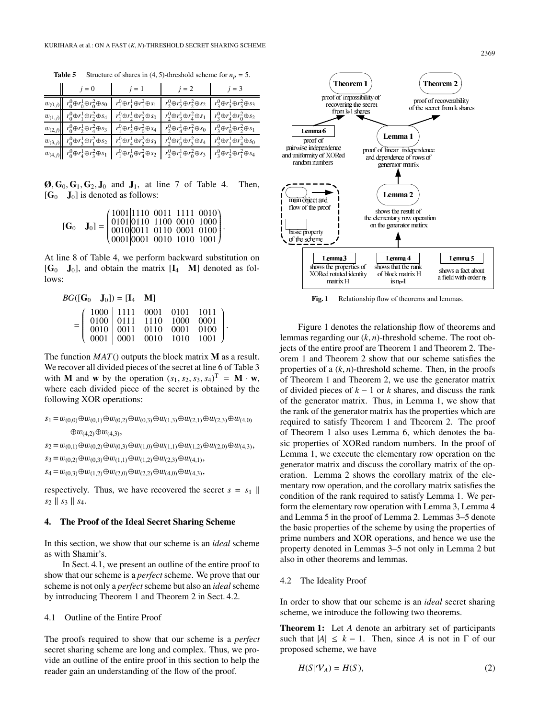| $j = 0$                                                                           | $j=1$                                        | $j=2$                                        | $j=3$                                        |
|-----------------------------------------------------------------------------------|----------------------------------------------|----------------------------------------------|----------------------------------------------|
| $w_{(0,j)}$ $r_0^0 \oplus r_0^1 \oplus r_0^2 \oplus s_0$                          | $r_1^0 \oplus r_1^1 \oplus r_1^2 \oplus s_1$ | $r_2^0 \oplus r_2^1 \oplus r_2^2 \oplus s_2$ | $r_3^0 \oplus r_3^1 \oplus r_3^2 \oplus s_3$ |
| $w_{(1,j)}$ $r_0^0 \oplus r_1^1 \oplus r_2^2 \oplus s_4$                          | $r_1^0 \oplus r_2^1 \oplus r_3^2 \oplus s_0$ | $r_2^0 \oplus r_3^1 \oplus r_4^2 \oplus s_1$ | $r_3^0 \oplus r_4^1 \oplus r_0^2 \oplus s_2$ |
| $w_{(2,j)}$ $r_0^0 \oplus r_2^1 \oplus r_4^2 \oplus s_3$                          | $r_1^0 \oplus r_3^1 \oplus r_0^2 \oplus s_4$ | $r_2^0 \oplus r_4^1 \oplus r_1^2 \oplus s_0$ | $r_3^0 \oplus r_0^1 \oplus r_2^2 \oplus s_1$ |
| $w_{(3,j)}$ $r_0^0 \oplus r_3^1 \oplus r_1^2 \oplus s_2$                          | $r_1^0 \oplus r_4^1 \oplus r_2^2 \oplus s_3$ | $r_2^0 \oplus r_0^1 \oplus r_3^2 \oplus s_4$ | $r_3^0 \oplus r_1^1 \oplus r_4^2 \oplus s_0$ |
| $w_{(4,j)}\left\ \ r_{0}^{0}\oplus r_{4}^{1}\oplus r_{3}^{2}\oplus s_{1}\right\ $ | $r_1^0 \oplus r_0^1 \oplus r_4^2 \oplus s_2$ | $r_2^0 \oplus r_1^1 \oplus r_0^2 \oplus s_3$ | $r_3^0 \oplus r_2^1 \oplus r_1^2 \oplus s_4$ |

**Table 5** Structure of shares in (4, 5)-threshold scheme for  $n_p = 5$ .

 $\mathbf{\emptyset}, \mathbf{G}_0, \mathbf{G}_1, \mathbf{G}_2, \mathbf{J}_0$  and  $\mathbf{J}_1$ , at line 7 of Table 4. Then,  $[\mathbf{G}_0 \quad \mathbf{J}_0]$  is denoted as follows:

[**G**<sup>0</sup> **J**0] = ⎛ ⎜⎜⎜⎜⎜⎜⎜⎜⎜⎜⎝ 1001 1110 0011 1111 0010 0101 0110 1100 0010 1000 0010 0011 0110 0001 0100 0001 0001 0010 1010 1001 ⎞ ⎟⎟⎟⎟⎟⎟⎟⎟⎟⎟⎠

At line 8 of Table 4, we perform backward substitution on  $[\mathbf{G}_0 \quad \mathbf{J}_0]$ , and obtain the matrix  $[\mathbf{I}_4 \quad \mathbf{M}]$  denoted as follows:

$$
BG([G_0 \t J_0]) = [I_4 \t M]
$$
  
= 
$$
\begin{pmatrix} 1000 & 1111 & 0001 & 0101 & 1011 \\ 0100 & 0111 & 1110 & 1000 & 0001 \\ 0010 & 0011 & 0110 & 0001 & 0100 \\ 0001 & 0001 & 0010 & 1010 & 1001 \end{pmatrix}.
$$

The function *MAT*() outputs the block matrix **M** as a result. We recover all divided pieces of the secret at line 6 of Table 3 with **M** and **w** by the operation  $(s_1, s_2, s_3, s_4)^T = \mathbf{M} \cdot \mathbf{w}$ ,<br>where each divided piece of the secret is obtained by the where each divided piece of the secret is obtained by the following XOR operations:

 $s_1 = w_{(0,0)} \oplus w_{(0,1)} \oplus w_{(0,2)} \oplus w_{(0,3)} \oplus w_{(1,3)} \oplus w_{(2,1)} \oplus w_{(2,3)} \oplus w_{(4,0)}$  $\oplus w_{(4,2)} \oplus w_{(4,3)},$ 

 $s_2 = w_{(0,1)} \oplus w_{(0,2)} \oplus w_{(0,3)} \oplus w_{(1,0)} \oplus w_{(1,1)} \oplus w_{(1,2)} \oplus w_{(2,0)} \oplus w_{(4,3)},$ 

 $s_3 = w_{(0,2)} \oplus w_{(0,3)} \oplus w_{(1,1)} \oplus w_{(1,2)} \oplus w_{(2,3)} \oplus w_{(4,1)},$ 

 $s_4 = w_{(0,3)} \oplus w_{(1,2)} \oplus w_{(2,0)} \oplus w_{(2,2)} \oplus w_{(4,0)} \oplus w_{(4,3)},$ 

respectively. Thus, we have recovered the secret  $s = s_1$  $s_2 \parallel s_3 \parallel s_4$ .

#### **4. The Proof of the Ideal Secret Sharing Scheme**

In this section, we show that our scheme is an *ideal* scheme as with Shamir's.

In Sect. 4.1, we present an outline of the entire proof to show that our scheme is a *perfect* scheme. We prove that our scheme is not only a *perfect* scheme but also an *ideal* scheme by introducing Theorem 1 and Theorem 2 in Sect. 4.2.

# 4.1 Outline of the Entire Proof

The proofs required to show that our scheme is a *perfect* secret sharing scheme are long and complex. Thus, we provide an outline of the entire proof in this section to help the reader gain an understanding of the flow of the proof.



Fig. 1 Relationship flow of theorems and lemmas.

Figure 1 denotes the relationship flow of theorems and lemmas regarding our (*k*, *<sup>n</sup>*)-threshold scheme. The root objects of the entire proof are Theorem 1 and Theorem 2. Theorem 1 and Theorem 2 show that our scheme satisfies the properties of a  $(k, n)$ -threshold scheme. Then, in the proofs of Theorem 1 and Theorem 2, we use the generator matrix of divided pieces of *k* − 1 or *k* shares, and discuss the rank of the generator matrix. Thus, in Lemma 1, we show that the rank of the generator matrix has the properties which are required to satisfy Theorem 1 and Theorem 2. The proof of Theorem 1 also uses Lemma 6, which denotes the basic properties of XORed random numbers. In the proof of Lemma 1, we execute the elementary row operation on the generator matrix and discuss the corollary matrix of the operation. Lemma 2 shows the corollary matrix of the elementary row operation, and the corollary matrix satisfies the condition of the rank required to satisfy Lemma 1. We perform the elementary row operation with Lemma 3, Lemma 4 and Lemma 5 in the proof of Lemma 2. Lemmas 3–5 denote the basic properties of the scheme by using the properties of prime numbers and XOR operations, and hence we use the property denoted in Lemmas 3–5 not only in Lemma 2 but also in other theorems and lemmas.

#### 4.2 The Ideality Proof

In order to show that our scheme is an *ideal* secret sharing scheme, we introduce the following two theorems.

**Theorem 1:** Let *A* denote an arbitrary set of participants such that  $|A| \leq k - 1$ . Then, since *A* is not in  $\Gamma$  of our proposed scheme, we have

$$
H(S|V_A) = H(S),\tag{2}
$$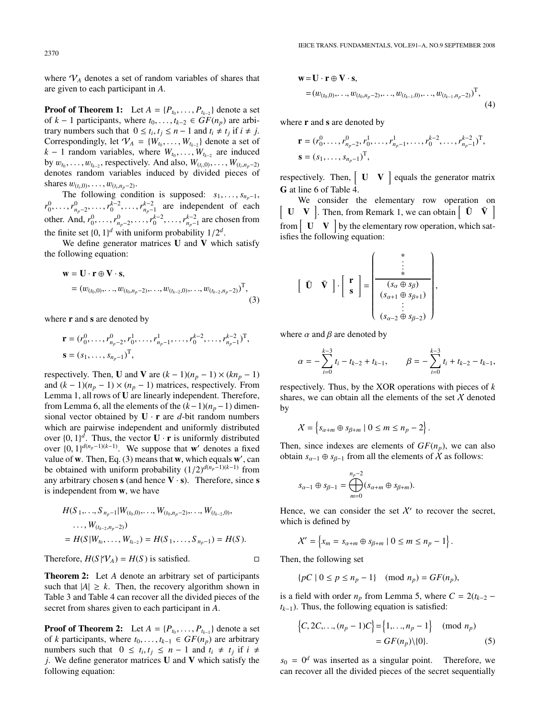where  $V_A$  denotes a set of random variables of shares that are given to each participant in *A*.

**Proof of Theorem 1:** Let  $A = \{P_{t_0}, \ldots, P_{t_{k-2}}\}$  denote a set of *k* − 1 participants, where  $t_0$ , ...,  $t_{k-2}$  ∈  $GF(n_p)$  are arbitrary numbers such that  $0 \le t_i, t_j \le n - 1$  and  $t_i \ne t_j$  if  $i \ne j$ .<br>Correspondingly let  $\mathcal{V}_i - \{W_i\}$ ,  $W_i$ , denote a set of Correspondingly, let  $V_A = \{W_{t_0}, \ldots, W_{t_{k-2}}\}$  denote a set of  $k - 1$  random variables, where  $W_{t_0}, \ldots, W_{t_{k-2}}$  are induced by  $w_{t_0}, \ldots, w_{t_{k-2}}$ , respectively. And also,  $W_{(t_i,0)}, \ldots, W_{(t_i,n_p-2)}$ denotes random variables induced by divided pieces of shares  $w_{(t_i,0)}, \ldots, w_{(t_i,n_p-2)}$ .<br>The following condition is supposed:  $s_1, \ldots, s_{n_p-1}$ ,

The following condition is supposed:  $s_1, ..., s_{n_p-1}$ ,<br>  $r_0^0, ..., r_{n_p-2}^0, ..., r_0^{k-2}, ..., r_{n_p-1}^{k-2}$  are independent of each<br>
other. And,  $r_0^0, ..., r_{n_p-2}^0, ..., r_0^{k-2}, ..., r_{n_p-1}^{k-2}$  are chosen from the finite set  $\{0, 1\}^d$  with uniform probability  $1/2^d$ .<br>We define generator matrices **U** and **V** which

We define generator matrices **U** and **V** which satisfy the following equation:

$$
\mathbf{w} = \mathbf{U} \cdot \mathbf{r} \oplus \mathbf{V} \cdot \mathbf{s},
$$
  
=  $(w_{(t_0,0)}, \dots, w_{(t_0,n_p-2)}, \dots, w_{(t_{k-2},0)}, \dots, w_{(t_{k-2},n_p-2)})^{\mathrm{T}},$  (3)

where **r** and **s** are denoted by

$$
\mathbf{r} = (r_0^0, \dots, r_{n_p-2}^0, r_0^1, \dots, r_{n_p-1}^1, \dots, r_0^{k-2}, \dots, r_{n_p-1}^{k-2})^T,
$$
  
\n
$$
\mathbf{s} = (s_1, \dots, s_{n_p-1})^T,
$$

respectively. Then, **U** and **V** are  $(k - 1)(n_p - 1) \times (kn_p - 1)$ and  $(k - 1)(n_p - 1) \times (n_p - 1)$  matrices, respectively. From Lemma 1, all rows of **U** are linearly independent. Therefore, from Lemma 6, all the elements of the  $(k-1)(n_p-1)$  dimensional vector obtained by  $U \cdot r$  are *d*-bit random numbers which are pairwise independent and uniformly distributed over  $\{0, 1\}^d$ . Thus, the vector  $\mathbf{U} \cdot \mathbf{r}$  is uniformly distributed<br>over  $\{0, 1\}^{d(n_p-1)(k-1)}$ . We suppose that **w**' denotes a fixed over  $\{0, 1\}^{d(n_p-1)(k-1)}$ . We suppose that **w** denotes a fixed value of **w**. Then Eq. (3) means that **w** which equals **w**' can value of **w**. Then, Eq. (3) means that **w**, which equals **w**', can be obtained with uniform probability (1/2)*d*(*np*−1)(*k*−1) from any arbitrary chosen **s** (and hence  $V \cdot s$ ). Therefore, since **s** is independent from **w**, we have

$$
H(S_1, \ldots, S_{n_p-1} | W_{(t_0,0)}, \ldots, W_{(t_0,n_p-2)}, \ldots, W_{(t_{k-2},0)},
$$
  
\n
$$
\ldots, W_{(t_{k-2},n_p-2)})
$$
  
\n
$$
= H(S | W_{t_0}, \ldots, W_{t_{k-2}}) = H(S_1, \ldots, S_{n_p-1}) = H(S).
$$

Therefore,  $H(S|V_A) = H(S)$  is satisfied.  $\Box$ 

**Theorem 2:** Let *A* denote an arbitrary set of participants such that  $|A| \geq k$ . Then, the recovery algorithm shown in Table 3 and Table 4 can recover all the divided pieces of the secret from shares given to each participant in *A*.

**Proof of Theorem 2:** Let  $A = \{P_{t_0}, \ldots, P_{t_{k-1}}\}$  denote a set of *k* participants, where  $t_0$ , ...,  $t_{k-1}$  ∈  $GF(n_p)$  are arbitrary numbers such that  $0 \le t_i, t_j \le n - 1$  and  $t_i \ne t_j$  if  $i \ne i$ <br>*i* We define generator matrices **II** and **V** which satisfy the *j*. We define generator matrices **U** and **V** which satisfy the following equation:

$$
\mathbf{w} = \mathbf{U} \cdot \mathbf{r} \oplus \mathbf{V} \cdot \mathbf{s},
$$
  
=  $(w_{(t_0,0)}, \ldots, w_{(t_0,n_p-2)}, \ldots, w_{(t_{k-1},0)}, \ldots, w_{(t_{k-1},n_p-2)})^T,$  (4)

where **r** and **s** are denoted by

$$
\mathbf{r} = (r_0^0, \dots, r_{n_p-2}^0, r_0^1, \dots, r_{n_p-1}^1, \dots, r_0^{k-2}, \dots, r_{n_p-1}^{k-2})^{\mathrm{T}},
$$
  

$$
\mathbf{s} = (s_1, \dots, s_{n_p-1})^{\mathrm{T}},
$$

respectively. Then,  $\begin{vmatrix} \mathbf{U} & \mathbf{V} \end{vmatrix}$  equals the generator matrix **G** at line 6 of Table 4.

We consider the elementary row operation on  $\begin{bmatrix} \n\mathbf{U} & \mathbf{V} \n\end{bmatrix}$ . Then, from Remark 1, we can obtain  $\begin{bmatrix} \n\mathbf{U} & \nabla \n\end{bmatrix}$ from  $\begin{bmatrix} \mathbf{U} & \mathbf{V} \end{bmatrix}$  by the elementary row operation, which satisfies the following equation:

$$
\left[\begin{array}{cc} \bar{\mathbf{U}} & \bar{\mathbf{V}} \end{array}\right] \cdot \left[\begin{array}{c} \mathbf{r} \\ \mathbf{s} \end{array}\right] = \left(\begin{array}{c} * \\ \vdots \\ \hline (s_{\alpha} \oplus s_{\beta}) \\ (s_{\alpha+1} \oplus s_{\beta+1}) \\ \vdots \\ (s_{\alpha-2} \oplus s_{\beta-2}) \end{array}\right),
$$

where  $\alpha$  and  $\beta$  are denoted by

$$
\alpha = -\sum_{i=0}^{k-3} t_i - t_{k-2} + t_{k-1}, \qquad \beta = -\sum_{i=0}^{k-3} t_i + t_{k-2} - t_{k-1},
$$

respectively. Thus, by the XOR operations with pieces of *k* shares, we can obtain all the elements of the set  $X$  denoted by

$$
\mathcal{X} = \left\{ s_{\alpha+m} \oplus s_{\beta+m} \mid 0 \leq m \leq n_p - 2 \right\}.
$$

Then, since indexes are elements of  $GF(n_p)$ , we can also obtain  $s_{\alpha-1} \oplus s_{\beta-1}$  from all the elements of X as follows:

$$
s_{\alpha-1} \oplus s_{\beta-1} = \bigoplus_{m=0}^{n_p-2} (s_{\alpha+m} \oplus s_{\beta+m}).
$$

Hence, we can consider the set  $X'$  to recover the secret, which is defined by

$$
\mathcal{X}' = \left\{ x_m = s_{\alpha+m} \oplus s_{\beta+m} \mid 0 \leq m \leq n_p - 1 \right\}.
$$

Then, the following set

$$
\{pC \mid 0 \le p \le n_p - 1\} \pmod{n_p} = GF(n_p),
$$

is a field with order  $n_p$  from Lemma 5, where  $C = 2(t_{k-2}$ *tk*−1). Thus, the following equation is satisfied:

$$
\begin{aligned} \left\{ C, 2C, \dots, (n_p - 1)C \right\} &= \left\{ 1, \dots, n_p - 1 \right\} \pmod{n_p} \\ &= GF(n_p) \setminus \{0\}. \end{aligned} \tag{5}
$$

 $s_0 = 0^d$  was inserted as a singular point. Therefore, we can recover all the divided pieces of the secret sequentially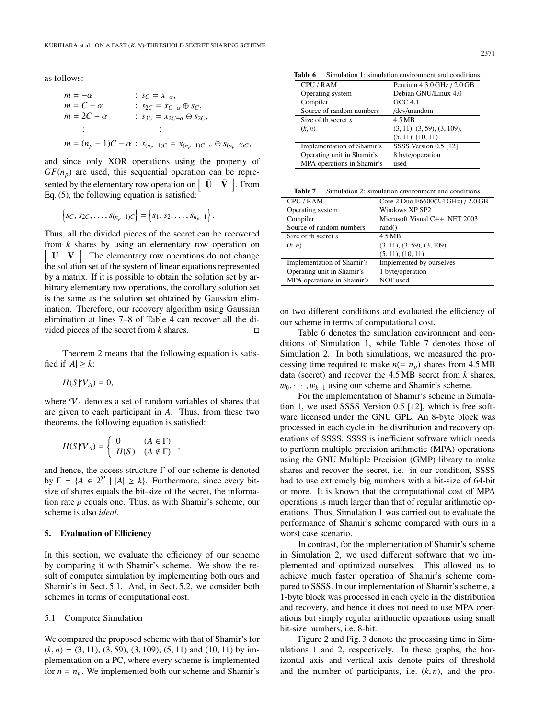as follows:

$$
m = -\alpha \qquad : s_C = x_{-\alpha},
$$
  
\n
$$
m = C - \alpha \qquad : s_{2C} = x_{C-\alpha} \oplus s_C,
$$
  
\n
$$
m = 2C - \alpha \qquad : s_{3C} = x_{2C-\alpha} \oplus s_{2C},
$$
  
\n
$$
\vdots \qquad \vdots
$$
  
\n
$$
m = (n_p - 1)C - \alpha \qquad s_{(n_p - 1)C} = x_{(n_p - 1)C - \alpha} \oplus s_{(n_p - 2)C},
$$

and since only XOR operations using the property of  $GF(n_p)$  are used, this sequential operation can be represented by the elementary row operation on  $\begin{bmatrix} \bar{\mathbf{U}} & \bar{\mathbf{V}} \end{bmatrix}$ . From Eq. (5), the following equation is satisfied:

$$
\{s_C, s_{2C}, \ldots, s_{(n_p-1)C}\} = \{s_1, s_2, \ldots, s_{n_p-1}\}.
$$

Thus, all the divided pieces of the secret can be recovered from *k* shares by using an elementary row operation on ſ **U V** . The elementary row operations do not change the solution set of the system of linear equations represented by a matrix. If it is possible to obtain the solution set by arbitrary elementary row operations, the corollary solution set is the same as the solution set obtained by Gaussian elimination. Therefore, our recovery algorithm using Gaussian elimination at lines 7–8 of Table 4 can recover all the divided pieces of the secret from  $k$  shares.  $\Box$ 

Theorem 2 means that the following equation is satisfied if  $|A| \geq k$ :

$$
H(S|\mathcal{V}_A)=0,
$$

where  $V_A$  denotes a set of random variables of shares that are given to each participant in *A*. Thus, from these two theorems, the following equation is satisfied:

$$
H(S|\mathcal{V}_A) = \begin{cases} 0 & (A \in \Gamma) \\ H(S) & (A \notin \Gamma) \end{cases}
$$

and hence, the access structure  $\Gamma$  of our scheme is denoted by  $\Gamma = \{A \in 2^{\mathcal{P}} \mid |A| \geq k\}$ . Furthermore, since every bitsize of shares equals the bit-size of the secret, the information rate  $\rho$  equals one. Thus, as with Shamir's scheme, our scheme is also *ideal*.

# **5.** Evaluation of Efficiency

In this section, we evaluate the efficiency of our scheme by comparing it with Shamir's scheme. We show the result of computer simulation by implementing both ours and Shamir's in Sect. 5.1. And, in Sect. 5.2, we consider both schemes in terms of computational cost.

#### 5.1 Computer Simulation

We compared the proposed scheme with that of Shamir's for  $(k, n) = (3, 11), (3, 59), (3, 109), (5, 11)$  and  $(10, 11)$  by implementation on a PC, where every scheme is implemented for  $n = n_p$ . We implemented both our scheme and Shamir's

**Table 6** Simulation 1: simulation environment and conditions.  $CPU / RAM$  Pentium  $4 \cdot 3.0 \cdot GHz / 2.0 \cdot GB$ <br>Operating system Debian GNU/Linux 4.0 Debian GNU/Linux 4.0 Compiler GCC 4.1 Source of random numbers /dev/urandom Size of th secret *s*  $4.5 \text{ MB}$ <br>(*k, n*)  $(3, 11)$ , (*k*, *<sup>n</sup>*) (3, 11), (3, 59), (3, 109),  $(5, 11), (10, 11)$ <br>SSSS Version 0.5 [12] Implementation of Shamir's Operating unit in Shamir's 8 byte/operation

| Simulation 2: simulation environment and conditions.<br><b>Table 7</b> |  |
|------------------------------------------------------------------------|--|
|------------------------------------------------------------------------|--|

MPA operations in Shamir's used

| CPU / RAM                  | Core 2 Duo E6600(2.4 GHz) / 2.0 GB   |
|----------------------------|--------------------------------------|
| Operating system           | Windows XP SP2                       |
| Compiler                   | Microsoft Visual $C_{++}$ . NET 2003 |
| Source of random numbers   | rand $()$                            |
| Size of the secret s       | 4.5 MB                               |
| (k, n)                     | (3, 11), (3, 59), (3, 109),          |
|                            | (5, 11), (10, 11)                    |
| Implementation of Shamir's | Implemented by ourselves             |
| Operating unit in Shamir's | 1 byte/operation                     |
| MPA operations in Shamir's | NOT used                             |

on two different conditions and evaluated the efficiency of our scheme in terms of computational cost.

Table 6 denotes the simulation environment and conditions of Simulation 1, while Table 7 denotes those of Simulation 2. In both simulations, we measured the processing time required to make  $n(= n_p)$  shares from 4.5 MB data (secret) and recover the 4.5 MB secret from *<sup>k</sup>* shares,  $w_0, \dots, w_{k-1}$  using our scheme and Shamir's scheme.

For the implementation of Shamir's scheme in Simulation 1, we used SSSS Version 0.5 [12], which is free software licensed under the GNU GPL. An 8-byte block was processed in each cycle in the distribution and recovery operations of SSSS. SSSS is inefficient software which needs to perform multiple precision arithmetic (MPA) operations using the GNU Multiple Precision (GMP) library to make shares and recover the secret, i.e. in our condition, SSSS had to use extremely big numbers with a bit-size of 64-bit or more. It is known that the computational cost of MPA operations is much larger than that of regular arithmetic operations. Thus, Simulation 1 was carried out to evaluate the performance of Shamir's scheme compared with ours in a worst case scenario.

In contrast, for the implementation of Shamir's scheme in Simulation 2, we used different software that we implemented and optimized ourselves. This allowed us to achieve much faster operation of Shamir's scheme compared to SSSS. In our implementation of Shamir's scheme, a 1-byte block was processed in each cycle in the distribution and recovery, and hence it does not need to use MPA operations but simply regular arithmetic operations using small bit-size numbers, i.e. 8-bit.

Figure 2 and Fig. 3 denote the processing time in Simulations 1 and 2, respectively. In these graphs, the horizontal axis and vertical axis denote pairs of threshold and the number of participants, i.e. (*k*, *<sup>n</sup>*), and the pro-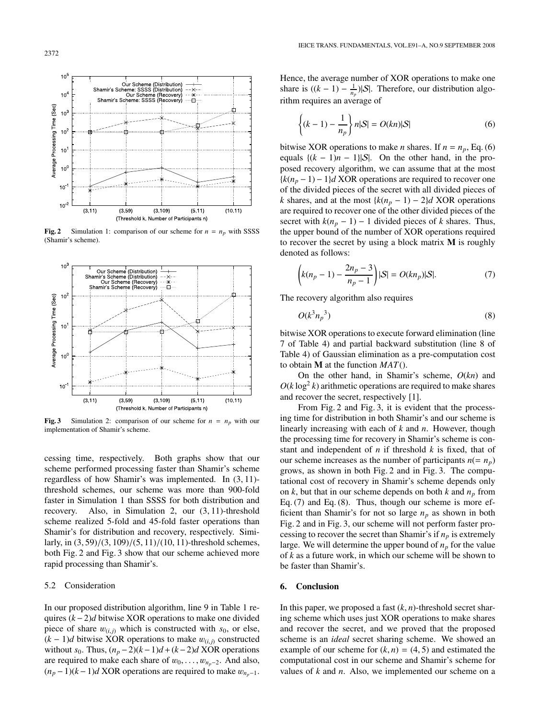

**Fig. 2** Simulation 1: comparison of our scheme for  $n = n_p$  with SSSS (Shamir's scheme).



**Fig. 3** Simulation 2: comparison of our scheme for  $n = n_p$  with our implementation of Shamir's scheme.

cessing time, respectively. Both graphs show that our scheme performed processing faster than Shamir's scheme regardless of how Shamir's was implemented. In (3, 11) threshold schemes, our scheme was more than 900-fold faster in Simulation 1 than SSSS for both distribution and recovery. Also, in Simulation 2, our (3, 11)-threshold scheme realized 5-fold and 45-fold faster operations than Shamir's for distribution and recovery, respectively. Similarly, in  $(3, 59)/(3, 109)/(5, 11)/(10, 11)$ -threshold schemes, both Fig. 2 and Fig. 3 show that our scheme achieved more rapid processing than Shamir's.

## 5.2 Consideration

In our proposed distribution algorithm, line 9 in Table 1 requires (*k*−2)*d* bitwise XOR operations to make one divided piece of share  $w_{(i,j)}$  which is constructed with  $s_0$ , or else,  $(k - 1)d$  bitwise XOR operations to make  $w_{(i, i)}$  constructed without  $s_0$ . Thus,  $(n_p - 2)(k-1)d + (k-2)d$  XOR operations are required to make each share of  $w_0, \ldots, w_{n_p-2}$ . And also,  $(n_p - 1)(k - 1)d$  XOR operations are required to make  $w_{n_p-1}$ . Hence, the average number of XOR operations to make one share is  $((k - 1) - \frac{1}{n_p})|S|$ . Therefore, our distribution algorithm requires an average of

$$
\left\{ (k-1) - \frac{1}{n_p} \right\} n|\mathcal{S}| = O(kn)|\mathcal{S}| \tag{6}
$$

bitwise XOR operations to make *n* shares. If  $n = n_p$ , Eq. (6) equals  $\{(k - 1)n - 1\}|\mathcal{S}|$ . On the other hand, in the proposed recovery algorithm, we can assume that at the most  ${k(n_p - 1) - 1}d$  XOR operations are required to recover one of the divided pieces of the secret with all divided pieces of *k* shares, and at the most  $\{k(n_p - 1) - 2\}$ *d* XOR operations are required to recover one of the other divided pieces of the secret with  $k(n_p - 1) - 1$  divided pieces of *k* shares. Thus, the upper bound of the number of XOR operations required to recover the secret by using a block matrix **M** is roughly denoted as follows:

$$
\left(k(n_p - 1) - \frac{2n_p - 3}{n_p - 1}\right)|S| = O(kn_p)|S|.
$$
 (7)

The recovery algorithm also requires

$$
O(k^3 n_p^3) \tag{8}
$$

bitwise XOR operations to execute forward elimination (line 7 of Table 4) and partial backward substitution (line 8 of Table 4) of Gaussian elimination as a pre-computation cost to obtain **M** at the function *MAT*().

On the other hand, in Shamir's scheme, *O*(*kn*) and  $O(k \log^2 k)$  arithmetic operations are required to make shares and recover the secret, respectively [1].

From Fig. 2 and Fig. 3, it is evident that the processing time for distribution in both Shamir's and our scheme is linearly increasing with each of *k* and *n*. However, though the processing time for recovery in Shamir's scheme is constant and independent of *n* if threshold *k* is fixed, that of our scheme increases as the number of participants  $n(= n_p)$ grows, as shown in both Fig. 2 and in Fig. 3. The computational cost of recovery in Shamir's scheme depends only on  $k$ , but that in our scheme depends on both  $k$  and  $n_p$  from Eq. (7) and Eq. (8). Thus, though our scheme is more efficient than Shamir's for not so large  $n_p$  as shown in both Fig. 2 and in Fig. 3, our scheme will not perform faster processing to recover the secret than Shamir's if  $n_p$  is extremely large. We will determine the upper bound of  $n_p$  for the value of *k* as a future work, in which our scheme will be shown to be faster than Shamir's.

## **6. Conclusion**

In this paper, we proposed a fast  $(k, n)$ -threshold secret sharing scheme which uses just XOR operations to make shares and recover the secret, and we proved that the proposed scheme is an *ideal* secret sharing scheme. We showed an example of our scheme for  $(k, n) = (4, 5)$  and estimated the computational cost in our scheme and Shamir's scheme for values of *k* and *n*. Also, we implemented our scheme on a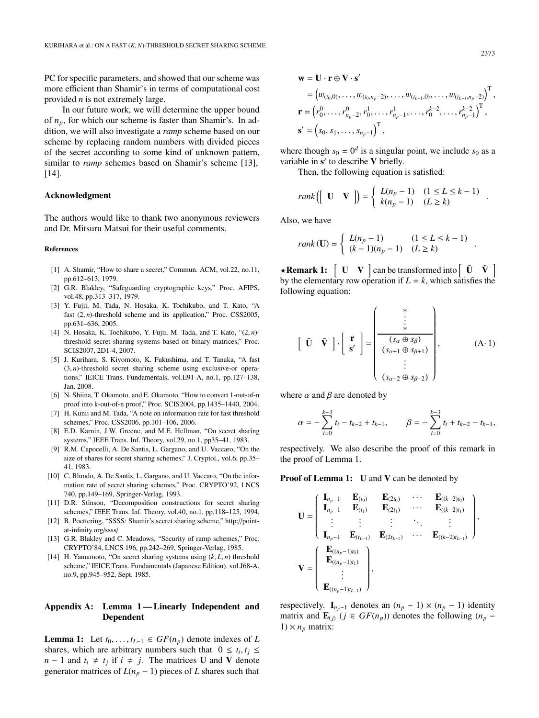PC for specific parameters, and showed that our scheme was more efficient than Shamir's in terms of computational cost provided *n* is not extremely large.

In our future work, we will determine the upper bound of  $n_p$ , for which our scheme is faster than Shamir's. In addition, we will also investigate a *ramp* scheme based on our scheme by replacing random numbers with divided pieces of the secret according to some kind of unknown pattern, similar to *ramp* schemes based on Shamir's scheme [13], [14].

## **Acknowledgment**

The authors would like to thank two anonymous reviewers and Dr. Mitsuru Matsui for their useful comments.

#### **References**

- [1] A. Shamir, "How to share a secret," Commun. ACM, vol.22, no.11, pp.612–613, 1979.
- [2] G.R. Blakley, "Safeguarding cryptographic keys," Proc. AFIPS, vol.48, pp.313–317, 1979.
- [3] Y. Fujii, M. Tada, N. Hosaka, K. Tochikubo, and T. Kato, "A fast  $(2, n)$ -threshold scheme and its application," Proc. CSS2005, pp.631–636, 2005.
- [4] N. Hosaka, K. Tochikubo, Y. Fujii, M. Tada, and T. Kato, "(2, *<sup>n</sup>*) threshold secret sharing systems based on binary matrices," Proc. SCIS2007, 2D1-4, 2007.
- [5] J. Kurihara, S. Kiyomoto, K. Fukushima, and T. Tanaka, "A fast  $(3, n)$ -threshold secret sharing scheme using exclusive-or operations," IEICE Trans. Fundamentals, vol.E91-A, no.1, pp.127–138, Jan. 2008.
- [6] N. Shiina, T. Okamoto, and E. Okamoto, "How to convert 1-out-of-n proof into k-out-of-n proof," Proc. SCIS2004, pp.1435–1440, 2004.
- [7] H. Kunii and M. Tada, "A note on information rate for fast threshold schemes," Proc. CSS2006, pp.101–106, 2006.
- [8] E.D. Karnin, J.W. Greene, and M.E. Hellman, "On secret sharing systems," IEEE Trans. Inf. Theory, vol.29, no.1, pp35–41, 1983.
- [9] R.M. Capocelli, A. De Santis, L. Gargano, and U. Vaccaro, "On the size of shares for secret sharing schemes," J. Cryptol., vol.6, pp.35– 41, 1983.
- [10] C. Blundo, A. De Santis, L. Gargano, and U. Vaccaro, "On the information rate of secret sharing schemes," Proc. CRYPTO'92, LNCS 740, pp.149–169, Springer-Verlag, 1993.
- [11] D.R. Stinson, "Decomposition constructions for secret sharing schemes," IEEE Trans. Inf. Theory, vol.40, no.1, pp.118–125, 1994.
- [12] B. Poettering, "SSSS: Shamir's secret sharing scheme," http://pointat-infinity.org/ssss/
- [13] G.R. Blakley and C. Meadows, "Security of ramp schemes," Proc. CRYPTO'84, LNCS 196, pp.242–269, Springer-Verlag, 1985.
- [14] H. Yamamoto, "On secret sharing systems using (*k*, *<sup>L</sup>*, *<sup>n</sup>*) threshold scheme," IEICE Trans. Fundamentals (Japanese Edition), vol.J68-A, no.9, pp.945–952, Sept. 1985.

# **Appendix A: Lemma 1 — Linearly Independent and Dependent**

**Lemma 1:** Let  $t_0, \ldots, t_{L-1} \in GF(n_p)$  denote indexes of *L* shares, which are arbitrary numbers such that  $0 \le t_i, t_j \le$  $n-1$  and  $t_i \neq t_j$  if  $i \neq j$ . The matrices **U** and **V** denote generator matrices of  $L(n_p - 1)$  pieces of *L* shares such that

$$
\mathbf{w} = \mathbf{U} \cdot \mathbf{r} \oplus \mathbf{V} \cdot \mathbf{s}'
$$
  
=  $(w_{(t_0,0)}, \ldots, w_{(t_0,n_p-2)}, \ldots, w_{(t_{L-1},0)}, \ldots, w_{(t_{L-1},n_p-2)})^{\mathrm{T}}$ ,  

$$
\mathbf{r} = (r_0^0, \ldots, r_{n_p-2}^0, r_0^1, \ldots, r_{n_p-1}^1, \ldots, r_0^{k-2}, \ldots, r_{n_p-1}^{k-2})^{\mathrm{T}}
$$
,  

$$
\mathbf{s}' = (s_0, s_1, \ldots, s_{n_p-1})^{\mathrm{T}},
$$

where though  $s_0 = 0^d$  is a singular point, we include  $s_0$  as a variable in s' to describe V briefly.

Then, the following equation is satisfied:

$$
rank([\mathbf{U} \quad \mathbf{V} \quad]) = \left\{ \begin{array}{ll} L(n_p - 1) & (1 \le L \le k - 1) \\ k(n_p - 1) & (L \ge k) \end{array} \right. .
$$

Also, we have

rank(U) = 
$$
\begin{cases} L(n_p - 1) & (1 \le L \le k - 1) \\ (k - 1)(n_p - 1) & (L \ge k) \end{cases}
$$
.

**Remark 1:**  $\begin{bmatrix} \mathbf{U} & \mathbf{V} \end{bmatrix}$  can be transformed into  $\begin{bmatrix} \mathbf{\bar{U}} & \mathbf{\bar{V}} \end{bmatrix}$ <br>by the elementary row operation if  $I - k$  which satisfies the by the elementary row operation if  $L = k$ , which satisfies the following equation:

$$
\begin{bmatrix} \overrightarrow{\mathbf{U}} & \overrightarrow{\mathbf{V}} \end{bmatrix} \cdot \begin{bmatrix} \mathbf{r} \\ \mathbf{s'} \end{bmatrix} = \begin{bmatrix} * \\ \overrightarrow{\mathbf{s}} \\ \overrightarrow{(s_{\alpha} \oplus s_{\beta})} \\ \overrightarrow{(s_{\alpha+1} \oplus s_{\beta+1})} \\ \vdots \\ \overrightarrow{(s_{\alpha-2} \oplus s_{\beta-2})} \end{bmatrix}, \qquad (A \cdot 1)
$$

where  $\alpha$  and  $\beta$  are denoted by

$$
\alpha = -\sum_{i=0}^{k-3} t_i - t_{k-2} + t_{k-1}, \qquad \beta = -\sum_{i=0}^{k-3} t_i + t_{k-2} - t_{k-1},
$$

respectively. We also describe the proof of this remark in the proof of Lemma 1.

## **Proof of Lemma 1: U** and **V** can be denoted by

$$
\mathbf{U} = \begin{pmatrix} \mathbf{I}_{n_p-1} & \mathbf{E}_{(t_0)} & \mathbf{E}_{(2t_0)} & \cdots & \mathbf{E}_{((k-2)t_0)} \\ \mathbf{I}_{n_p-1} & \mathbf{E}_{(t_1)} & \mathbf{E}_{(2t_1)} & \cdots & \mathbf{E}_{((k-2)t_1)} \\ \vdots & \vdots & \vdots & \ddots & \vdots \\ \mathbf{I}_{n_p-1} & \mathbf{E}_{(t_{L-1})} & \mathbf{E}_{(2t_{L-1})} & \cdots & \mathbf{E}_{((k-2)t_{L-1})} \end{pmatrix}, \\ \mathbf{V} = \begin{pmatrix} \mathbf{E}_{((n_p-1)t_0)} \\ \mathbf{E}_{((n_p-1)t_1)} \\ \vdots \\ \mathbf{E}_{((n_p-1)t_{L-1})} \end{pmatrix},
$$

respectively.  $I_{n_p-1}$  denotes an  $(n_p - 1) \times (n_p - 1)$  identity matrix and  $\mathbf{E}_{(i)}$  (*j* ∈ *GF*(*n<sub>p</sub>*)) denotes the following (*n<sub>p</sub>* − 1)  $\times n_p$  matrix: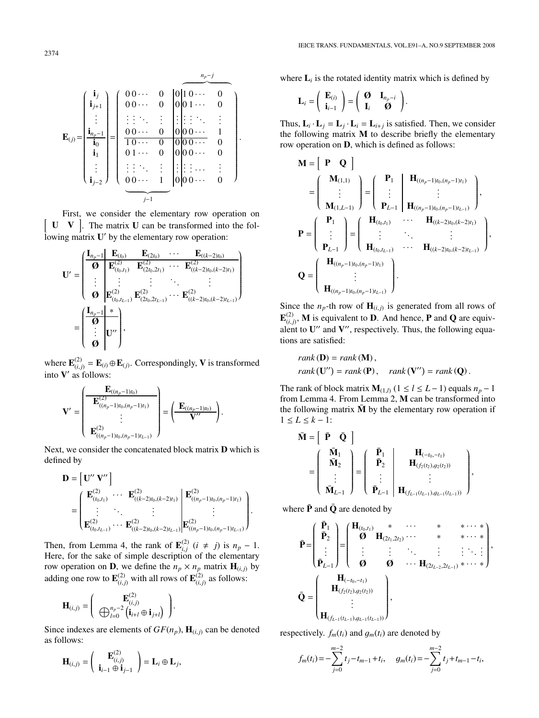$$
\mathbf{E}_{(j)} = \begin{pmatrix} \mathbf{i}_j \\ \mathbf{i}_{j+1} \\ \vdots \\ \mathbf{i}_{n_p-1} \\ \mathbf{i}_0 \\ \mathbf{i}_1 \\ \vdots \\ \mathbf{i}_{j-2} \end{pmatrix} = \begin{pmatrix} 0 & 0 & \cdots & 0 & 0 \\ 0 & 0 & \cdots & 0 & 0 \\ 0 & 0 & \cdots & 0 & 0 \\ \vdots & \vdots & \ddots & \vdots & \vdots & \vdots \\ 0 & 0 & \cdots & 0 & 0 & 0 \\ 0 & \cdots & 0 & 0 & 0 & 0 & 0 \\ 0 & 1 & \cdots & 0 & 0 & 0 & 0 \\ \vdots & \vdots & \ddots & \vdots & \vdots & \vdots \\ 0 & 0 & \cdots & 1 & 0 & 0 \\ 0 & \cdots & 0 & 0 & 0 & 0 & 0 \\ \vdots & \vdots & \ddots & \vdots & \vdots & \vdots & \vdots \\ 0 & 0 & \cdots & 1 & 0 & 0 & 0 \\ 0 & 0 & \cdots & 0 & 0 & 0 & 0 \end{pmatrix}
$$

First, we consider the elementary row operation on ſ  $\bf{U}$   $\bf{V}$  . The matrix  $\bf{U}$  can be transformed into the following matrix **U'** by the elementary row operation:

$$
\mathbf{U}' = \begin{pmatrix} \mathbf{I}_{n_p-1} & \mathbf{E}_{(t_0)} & \mathbf{E}_{(2t_0)} & \cdots & \mathbf{E}_{((k-2)t_0)} \\ \hline \mathbf{O} & \mathbf{E}_{(t_0,t_1)}^{(2)} & \mathbf{E}_{(2t_0,2t_1)}^{(2)} & \cdots & \mathbf{E}_{((k-2)t_0,(k-2)t_1)}^{(2)} \\ \vdots & \vdots & \vdots & \ddots & \vdots \\ \hline \mathbf{O} & \mathbf{E}_{(t_0,t_{L-1})}^{(2)} & \mathbf{E}_{(2t_0,2t_{L-1})}^{(2)} & \cdots & \mathbf{E}_{((k-2)t_0,(k-2)t_{L-1})}^{(2)} \end{pmatrix}
$$

$$
= \begin{pmatrix} \mathbf{I}_{n_p-1} & * \\ \hline \mathbf{O} & \mathbf{U}^{\prime\prime} \\ \vdots & \mathbf{U}^{\prime\prime} \\ \hline \mathbf{O} & \mathbf{U}^{\prime\prime} \end{pmatrix},
$$

where  $\mathbf{E}_{(i,j)}^{(2)} = \mathbf{E}_{(i)} \oplus \mathbf{E}_{(j)}$ . Correspondingly, **V** is transformed<br>into  $\mathbf{V}'$  as follows: into  $V'$  as follows:

$$
\mathbf{V}' = \begin{pmatrix} \mathbf{E}_{((n_p-1)t_0)} \\ \hline \mathbf{E}_{((n_p-1)t_0,(n_p-1)t_1)}^{(2)} \\ \vdots \\ \mathbf{E}_{((n_p-1)t_0,(n_p-1)t_{L-1})}^{(2)} \end{pmatrix} = \begin{pmatrix} \mathbf{E}_{((n_p-1)t_0)} \\ \hline \mathbf{V}'' \\ \hline \mathbf{V}'' \end{pmatrix}.
$$

Next, we consider the concatenated block matrix **D** which is defined by

$$
\mathbf{D} = \begin{bmatrix} \mathbf{U''} \mathbf{V''} \end{bmatrix}
$$
  
= 
$$
\begin{bmatrix} \mathbf{E}_{(t_0,t_1)}^{(2)} & \cdots & \mathbf{E}_{((k-2)t_0,(k-2)t_1)}^{(2)} & \mathbf{E}_{((n_p-1)t_0,(n_p-1)t_1)}^{(2)} \\ \vdots & \ddots & \vdots & \vdots \\ \mathbf{E}_{(t_0,t_{L-1})}^{(2)} & \cdots & \mathbf{E}_{((k-2)t_0,(k-2)t_{L-1})}^{(2)} & \mathbf{E}_{((n_p-1)t_0,(n_p-1)t_{L-1})}^{(2)} \end{bmatrix}
$$

Then, from Lemma 4, the rank of  $\mathbf{E}_{i,j}^{(2)}$   $(i \neq j)$  is  $n_p - 1$ .<br>Here for the sake of simple description of the elementary Here, for the sake of simple description of the elementary row operation on **D**, we define the  $n_p \times n_p$  matrix  $\mathbf{H}_{(i,j)}$  by adding one row to  $\mathbf{E}_{(i,j)}^{(2)}$  with all rows of  $\mathbf{E}_{(i,j)}^{(2)}$  as follows:

$$
\mathbf{H}_{(i,j)} = \begin{pmatrix} \mathbf{E}_{(i,j)}^{(2)} \\ \bigoplus_{l=0}^{n_p-2} \left(\mathbf{i}_{i+l} \oplus \mathbf{i}_{j+l}\right) \end{pmatrix}.
$$

Since indexes are elements of  $GF(n_p)$ ,  $\mathbf{H}_{(i,j)}$  can be denoted as follows:

$$
\mathbf{H}_{(i,j)} = \left(\begin{array}{c} \mathbf{E}_{(i,j)}^{(2)} \\ \mathbf{i}_{i-1} \oplus \mathbf{i}_{j-1} \end{array}\right) = \mathbf{L}_i \oplus \mathbf{L}_j,
$$

where **L***<sup>i</sup>* is the rotated identity matrix which is defined by

$$
\mathbf{L}_i = \left(\begin{array}{c}\mathbf{E}_{(i)} \\ \mathbf{i}_{i-1}\end{array}\right) = \left(\begin{array}{cc}\mathbf{O} & \mathbf{I}_{n_p - i} \\ \mathbf{I}_i & \mathbf{O}\end{array}\right).
$$

Thus,  $\mathbf{L}_i \cdot \mathbf{L}_j = \mathbf{L}_j \cdot \mathbf{L}_i = \mathbf{L}_{i+j}$  is satisfied. Then, we consider the following matrix **M** to describe briefly the elementary row operation on **D**, which is defined as follows:

$$
\mathbf{M} = \begin{bmatrix} \mathbf{P} & \mathbf{Q} \end{bmatrix}
$$
  
\n=
$$
\begin{bmatrix} \mathbf{M}_{(1,1)} \\ \vdots \\ \mathbf{M}_{(1,L-1)} \end{bmatrix} = \begin{bmatrix} \mathbf{P}_1 \\ \vdots \\ \mathbf{P}_{L-1} \end{bmatrix} \begin{bmatrix} \mathbf{H}_{((n_p-1)t_0,(n_p-1)t_1)} \\ \vdots \\ \mathbf{H}_{((n_p-1)t_0,(n_p-1)t_{L-1})} \end{bmatrix},
$$
  
\n
$$
\mathbf{P} = \begin{bmatrix} \mathbf{P}_1 \\ \vdots \\ \mathbf{P}_{L-1} \end{bmatrix} = \begin{bmatrix} \mathbf{H}_{(t_0,t_1)} & \cdots & \mathbf{H}_{((k-2)t_0,(k-2)t_1)} \\ \vdots & \ddots & \vdots \\ \mathbf{H}_{(t_0,t_{L-1})} & \cdots & \mathbf{H}_{((k-2)t_0,(k-2)t_{L-1})} \end{bmatrix},
$$
  
\n
$$
\mathbf{Q} = \begin{bmatrix} \mathbf{H}_{((n_p-1)t_0,(n_p-1)t_1)} \\ \vdots \\ \mathbf{H}_{((n_p-1)t_0,(n_p-1)t_{L-1})} \end{bmatrix}.
$$

Since the  $n_p$ -th row of  $\mathbf{H}_{(i,j)}$  is generated from all rows of  $\mathbf{E}_{(i,j)}^{(2)}$ , **M** is equivalent to **D**. And hence, **P** and **Q** are equiv- $\mathbf{L}_{(i,j)}$ ,  $\mathbf{M}$  is equivalent to  $\mathbf{L}$ . Thus hence,  $\mathbf{I}$  and  $\mathbf{\hat{V}}$  are equivalent to  $\mathbf{U}^{\prime\prime}$  and  $\mathbf{V}^{\prime\prime}$ , respectively. Thus, the following equations are satisfied:

$$
rank(\mathbf{D}) = rank(\mathbf{M}),
$$
  

$$
rank(\mathbf{U''}) = rank(\mathbf{P}), \quad rank(\mathbf{V''}) = rank(\mathbf{Q}).
$$

The rank of block matrix  $M_{(1,l)}$  ( $1 \le l \le L-1$ ) equals  $n_p - 1$ from Lemma 4. From Lemma 2, **M** can be transformed into the following matrix  $\bar{M}$  by the elementary row operation if  $1 ≤ L ≤ k - 1$ :

$$
\begin{aligned}\n\bar{\mathbf{M}} &= \left[ \begin{array}{c} \bar{\mathbf{P}} & \bar{\mathbf{Q}} \end{array} \right] \\
&= \left( \begin{array}{c} \bar{\mathbf{M}}_1 \\ \bar{\mathbf{M}}_2 \\ \vdots \\ \bar{\mathbf{M}}_{L-1} \end{array} \right) = \left( \begin{array}{c} \bar{\mathbf{P}}_1 \\ \bar{\mathbf{P}}_2 \\ \vdots \\ \bar{\mathbf{P}}_{L-1} \end{array} \right) \begin{array}{c} \mathbf{H}_{(-t_0,-t_1)} \\
\mathbf{H}_{(f_2(t_2),g_2(t_2))} \\
\vdots \\
\mathbf{H}_{(f_{L-1}(t_{L-1}),g_{L-1}(t_{L-1}))} \end{array} \right),\n\end{aligned}
$$

where  $\bar{P}$  and  $\bar{Q}$  are denoted by

$$
\bar{\mathbf{P}} = \begin{pmatrix}\n\bar{\mathbf{P}}_1 \\
\bar{\mathbf{P}}_2 \\
\vdots \\
\bar{\mathbf{P}}_{L-1}\n\end{pmatrix}\n=\n\begin{pmatrix}\n\mathbf{H}_{(t_0,t_1)} & * & \cdots & * & * \cdots * \\
\mathbf{O} & \mathbf{H}_{(2t_1,2t_2)} & \cdots & * & * \cdots * \\
\vdots & \vdots & \ddots & \vdots & \vdots \ddots : \\
\mathbf{O} & \mathbf{O} & \mathbf{O} & \cdots & \mathbf{H}_{(2t_{L-2},2t_{L-1})} & * \cdots * \\
\mathbf{H}_{(f_L(t_2),g_2(t_2))} & \vdots & \vdots & \vdots \\
\mathbf{H}_{(f_{L-1}(t_{L-1}),g_{L-1}(t_{L-1}))}\n\end{pmatrix},
$$

respectively.  $f_m(t_i)$  and  $g_m(t_i)$  are denoted by

$$
f_m(t_i) = -\sum_{j=0}^{m-2} t_j - t_{m-1} + t_i, \quad g_m(t_i) = -\sum_{j=0}^{m-2} t_j + t_{m-1} - t_i,
$$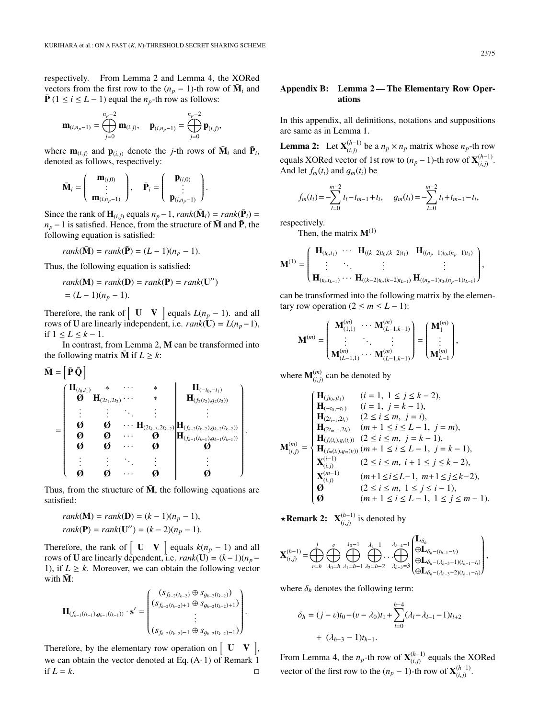respectively. From Lemma 2 and Lemma 4, the XORed vectors from the first row to the  $(n_p - 1)$ -th row of  $\overline{M}_i$  and  $\bar{\mathbf{P}}$  (1 ≤ *i* ≤ *L* − 1) equal the *n<sub>p</sub>*-th row as follows:

$$
\mathbf{m}_{(i,n_p-1)} = \bigoplus_{j=0}^{n_p-2} \mathbf{m}_{(i,j)}, \quad \mathbf{p}_{(i,n_p-1)} = \bigoplus_{j=0}^{n_p-2} \mathbf{p}_{(i,j)},
$$

where  $\mathbf{m}_{(i,j)}$  and  $\mathbf{p}_{(i,j)}$  denote the *j*-th rows of  $\bar{\mathbf{M}}_i$  and  $\bar{\mathbf{P}}_i$ , denoted as follows, respectively:

$$
\bar{\mathbf{M}}_i = \left(\begin{array}{c}\mathbf{m}_{(i,0)}\\ \vdots\\ \mathbf{m}_{(i,n_p-1)}\end{array}\right), \quad \bar{\mathbf{P}}_i = \left(\begin{array}{c}\mathbf{p}_{(i,0)}\\ \vdots\\ \mathbf{p}_{(i,n_p-1)}\end{array}\right).
$$

Since the rank of  $\mathbf{H}_{(i,j)}$  equals  $n_p - 1$ ,  $rank(\mathbf{\bar{M}}_i) = rank(\mathbf{\bar{P}}_i)$  $n_p - 1$  is satisfied. Hence, from the structure of  $\overline{M}$  and  $\overline{P}$ , the following equation is satisfied:

$$
rank(\bar{\mathbf{M}}) = rank(\bar{\mathbf{P}}) = (L-1)(n_p - 1).
$$

Thus, the following equation is satisfied:

$$
rank(\mathbf{M}) = rank(\mathbf{D}) = rank(\mathbf{P}) = rank(\mathbf{U''})
$$

$$
= (L-1)(n_p - 1).
$$

Therefore, the rank of  $\mid$  **U**  $\mid$  **V**  $\mid$  equals  $L(n_p - 1)$ . and all rows of **U** are linearly independent, i.e.  $rank(U) = L(n_p-1)$ , if  $1 \leq L \leq k-1$ .

In contrast, from Lemma 2, **M** can be transformed into the following matrix  $\overline{M}$  if  $L \geq k$ :

$$
\bar{\mathbf{M}} = \left[ \bar{\mathbf{P}} \, \bar{\mathbf{Q}} \, \right]
$$

$$
= \left(\begin{array}{cccccc} \mathbf{H}_{(t_0,t_1)} & * & \cdots & * & \mathbf{H}_{(-t_0,-t_1)} \\ \varnothing & \mathbf{H}_{(2t_1,2t_2)} & \cdots & * & \mathbf{H}_{(f_2(t_2),g_2(t_2))} \\ \vdots & \vdots & \ddots & \vdots & \vdots \\ \varnothing & \varnothing & \cdots & \varnothing & \mathbf{H}_{(f_{k-2}(t_{k-2}),g_{k-2}(t_{k-2}))} \\ \varnothing & \varnothing & \cdots & \varnothing & \mathbf{H}_{(f_{k-1}(t_{k-1}),g_{k-1}(t_{k-1}))} \\ \vdots & \vdots & \ddots & \vdots & \vdots \\ \varnothing & \varnothing & \cdots & \varnothing & \varnothing & \end{array}\right)
$$

Thus, from the structure of  $\overline{M}$ , the following equations are satisfied:

$$
rank(\mathbf{M}) = rank(\mathbf{D}) = (k - 1)(n_p - 1),
$$
  

$$
rank(\mathbf{P}) = rank(\mathbf{U''}) = (k - 2)(n_p - 1).
$$

Therefore, the rank of  $\mid$  **U**  $\mid$  **V**  $\mid$  equals  $k(n_p - 1)$  and all rows of **U** are linearly dependent, i.e. *rank*(**U**) =  $(k-1)(n_p − n)$ 1), if  $L \geq k$ . Moreover, we can obtain the following vector with  $\bar{M}$ :

$$
\mathbf{H}_{(f_{k-1}(t_{k-1}),g_{k-1}(t_{k-1}))} \cdot \mathbf{s}' = \begin{pmatrix} (s_{f_{k-2}(t_{k-2})} \oplus s_{g_{k-2}(t_{k-2})}) \\ (s_{f_{k-2}(t_{k-2})+1} \oplus s_{g_{k-2}(t_{k-2})+1}) \\ \vdots \\ (s_{f_{k-2}(t_{k-2})-1} \oplus s_{g_{k-2}(t_{k-2})-1}) \end{pmatrix}.
$$

Therefore, by the elementary row operation on  $\begin{bmatrix} \mathbf{U} & \mathbf{V} \end{bmatrix}$ , we can obtain the vector denoted at Eq.  $(A \cdot 1)$  of Remark 1 if  $L = k$ .

# **Appendix B: Lemma 2 — The Elementary Row Operations**

In this appendix, all definitions, notations and suppositions are same as in Lemma 1.

**Lemma 2:** Let  $\mathbf{X}_{(i,j)}^{(h-1)}$  be a  $n_p \times n_p$  matrix whose  $n_p$ -th row equals XORed vector of 1st row to  $(n_p - 1)$ -th row of  $\mathbf{X}_{(i,j)}^{(h-1)}$ .<br>And let  $f_n(t_0)$  and  $g_n(t_0)$  be And let  $f_m(t_i)$  and  $g_m(t_i)$  be

$$
f_m(t_i) = -\sum_{l=0}^{m-2} t_l - t_{m-1} + t_i, \quad g_m(t_i) = -\sum_{l=0}^{m-2} t_l + t_{m-1} - t_i,
$$

respectively.

Then, the matrix **M**(1)

$$
\mathbf{M}^{(1)} = \begin{pmatrix} \mathbf{H}_{(t_0,t_1)} & \cdots & \mathbf{H}_{((k-2)t_0,(k-2)t_1)} & \mathbf{H}_{((n_p-1)t_0,(n_p-1)t_1)} \\ \vdots & \ddots & \vdots & \vdots \\ \mathbf{H}_{(t_0,t_{L-1})} & \cdots & \mathbf{H}_{((k-2)t_0,(k-2)t_{L-1})} & \mathbf{H}_{((n_p-1)t_0,(n_p-1)t_{L-1})} \end{pmatrix},
$$

can be transformed into the following matrix by the elementary row operation  $(2 \le m \le L - 1)$ :

$$
\mathbf{M}^{(m)} = \begin{pmatrix} \mathbf{M}_{(1,1)}^{(m)} & \cdots & \mathbf{M}_{(L-1,k-1)}^{(m)} \\ \vdots & \ddots & \vdots \\ \mathbf{M}_{(L-1,1)}^{(m)} & \cdots & \mathbf{M}_{(L-1,k-1)}^{(m)} \end{pmatrix} = \begin{pmatrix} \mathbf{M}_1^{(m)} \\ \vdots \\ \mathbf{M}_{L-1}^{(m)} \end{pmatrix},
$$

where  $\mathbf{M}_{(i,j)}^{(m)}$  can be denoted by

$$
\mathbf{M}_{(i,j)}^{(m)} = \begin{cases}\n\mathbf{H}_{(jt_0,jt_1)} & (i = 1, 1 \le j \le k - 2), \\
\mathbf{H}_{(-t_0,-t_1)} & (i = 1, j = k - 1), \\
\mathbf{H}_{(2t_{i-1},2t_i)} & (2 \le i \le m, j = i), \\
\mathbf{H}_{(2t_{m-1},2t_i)} & (m + 1 \le i \le L - 1, j = m), \\
\mathbf{H}_{(f_i(t_i),g_i(t_i))} & (2 \le i \le m, j = k - 1), \\
\mathbf{H}_{(f_m(t_i),g_m(t_i))} & (m + 1 \le i \le L - 1, j = k - 1), \\
\mathbf{X}_{(i,j)}^{(i-1)} & (2 \le i \le m, i + 1 \le j \le k - 2), \\
\mathbf{X}_{(i,j)}^{(m-1)} & (m + 1 \le i \le L - 1, m + 1 \le j \le k - 2), \\
\mathbf{0} & (2 \le i \le m, 1 \le j \le i - 1), \\
\mathbf{0} & (m + 1 \le i \le L - 1, 1 \le j \le m - 1).\n\end{cases}
$$

 $\star$ **Remark 2:**  $\mathbf{X}_{(i,j)}^{(h-1)}$  is denoted by

$$
\mathbf{X}_{(i,j)}^{(h-1)} = \bigoplus_{v=h}^{j} \bigoplus_{\lambda_0=h}^{v} \bigoplus_{\lambda_1=h-1}^{h_0-1} \bigoplus_{\lambda_2=h-2}^{h_1-1} \dots \bigoplus_{\lambda_{h-3}=3}^{h_{h-4}-1} \left( \bigoplus_{\bigoplus \mathbf{L}_{\delta_h-(\lambda_{h-3}-1)(t_{h-1}-t_i)}^{h_0}(t_{h-1})} \right),
$$

where  $\delta_h$  denotes the following term:

$$
\delta_h = (j - v)t_0 + (v - \lambda_0)t_1 + \sum_{l=0}^{h-4} (\lambda_l - \lambda_{l+1} - 1)t_{l+2}
$$
  
+  $(\lambda_{h-3} - 1)t_{h-1}$ .

From Lemma 4, the *n<sub>p</sub>*-th row of  $\mathbf{X}_{(i,j)}^{(h-1)}$  equals the XORed vector of the first row to the  $(n_p - 1)$ -th row of  $\mathbf{X}_{(i,j)}^{(h-1)}$ .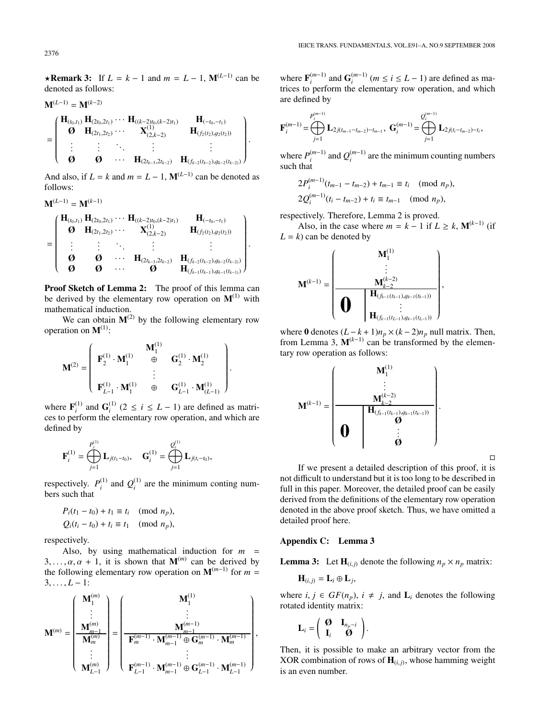$\star$ **Remark 3:** If  $L = k - 1$  and  $m = L - 1$ ,  $M^{(L-1)}$  can be denoted as follows:

$$
\mathbf{M}^{(L-1)} = \mathbf{M}^{(k-2)} \n= \begin{pmatrix}\n\mathbf{H}_{(t_0,t_1)} \mathbf{H}_{(2t_0,2t_1)} \cdots \mathbf{H}_{((k-2)t_0,(k-2)t_1)} & \mathbf{H}_{(-t_0,-t_1)} \\
\boldsymbol{\emptyset} & \mathbf{H}_{(2t_1,2t_2)} \cdots & \mathbf{X}^{(1)}_{(2,k-2)} & \mathbf{H}_{(f_2(t_2),g_2(t_2))} \\
\vdots & \vdots & \ddots & \vdots & \vdots \\
\boldsymbol{\emptyset} & \boldsymbol{\emptyset} & \cdots & \mathbf{H}_{(2t_{k-3},2t_{k-2})} & \mathbf{H}_{(f_{k-2}(t_{k-2}),g_{k-2}(t_{k-2}))}\n\end{pmatrix}.
$$

And also, if  $L = k$  and  $m = L - 1$ ,  $\mathbf{M}^{(L-1)}$  can be denoted as follows:

$$
\mathbf{M}^{(L-1)} = \mathbf{M}^{(k-1)} \n= \begin{pmatrix}\n\mathbf{H}_{(t_0,t_1)} \mathbf{H}_{(2t_0,2t_1)} \cdots \mathbf{H}_{((k-2)t_0,(k-2)t_1)} & \mathbf{H}_{(-t_0,-t_1)} \\
\emptyset & \mathbf{H}_{(2t_1,2t_2)} \cdots & \mathbf{X}_{(2,k-2)}^{(1)} & \mathbf{H}_{(f_2(t_2),g_2(t_2))} \\
\vdots & \vdots & \ddots & \vdots & \vdots \\
\emptyset & \emptyset & \cdots & \mathbf{H}_{(2t_{k-3},2t_{k-2})} & \mathbf{H}_{(f_{k-2}(t_{k-2}),g_{k-2}(t_{k-2}))} \\
\emptyset & \emptyset & \cdots & \emptyset & \mathbf{H}_{(f_{k-1}(t_{k-1}),g_{k-1}(t_{k-1}))}\n\end{pmatrix}
$$

**Proof Sketch of Lemma 2:** The proof of this lemma can be derived by the elementary row operation on  $M^{(1)}$  with mathematical induction.

We can obtain  $M^{(2)}$  by the following elementary row operation on **M**(1):

$$
\mathbf{M}^{(2)} = \begin{pmatrix} \mathbf{F}_2^{(1)} \cdot \mathbf{M}_1^{(1)} & \oplus & \mathbf{G}_2^{(1)} \cdot \mathbf{M}_2^{(1)} \\ \mathbf{F}_2^{(1)} \cdot \mathbf{M}_1^{(1)} & \oplus & \mathbf{G}_{L-1}^{(1)} \cdot \mathbf{M}_{(L-1)}^{(1)} \end{pmatrix}.
$$

where  $\mathbf{F}_i^{(1)}$  and  $\mathbf{G}_i^{(1)}$  (2  $\leq i \leq L-1$ ) are defined as matrices to perform the elementary row operation, and which are defined by

$$
\mathbf{F}_i^{(1)} = \bigoplus_{j=1}^{P_i^{(1)}} \mathbf{L}_{j(t_1-t_0)}, \quad \mathbf{G}_i^{(1)} = \bigoplus_{j=1}^{Q_i^{(1)}} \mathbf{L}_{j(t_i-t_0)},
$$

respectively.  $P_i^{(1)}$  and  $Q_i^{(1)}$  are the minimum conting numbers such that

$$
P_i(t_1 - t_0) + t_1 \equiv t_i \pmod{n_p},
$$
  

$$
Q_i(t_i - t_0) + t_i \equiv t_1 \pmod{n_p},
$$

respectively.

Also, by using mathematical induction for  $m =$ 3, ...,  $\alpha$ ,  $\alpha$  + 1, it is shown that  $M^{(m)}$  can be derived by the following elementary row operation on  $M^{(m-1)}$  for  $m =$  $3, \ldots, L-1$ :

$$
\mathbf{M}^{(m)} = \left(\begin{array}{c} \mathbf{M}^{(m)}_1 \\ \vdots \\ \mathbf{M}^{(m)}_m \\ \hline \mathbf{M}^{(m)}_m \\ \vdots \\ \mathbf{M}^{(m)}_{L-1} \end{array}\right) = \left(\begin{array}{c} \mathbf{M}^{(1)}_1 \\ \vdots \\ \mathbf{M}^{(m-1)}_{m-1} \\ \hline \mathbf{F}^{(m-1)}_m \cdot \mathbf{M}^{(m-1)}_{m-1} \oplus \mathbf{G}^{(m-1)}_m \cdot \mathbf{M}^{(m-1)}_m \\ \vdots \\ \mathbf{F}^{(m-1)}_{L-1} \cdot \mathbf{M}^{(m-1)}_{m-1} \oplus \mathbf{G}^{(m-1)}_{L-1} \cdot \mathbf{M}^{(m-1)}_{L-1} \end{array}\right),
$$

where  $\mathbf{F}_i^{(m-1)}$  and  $\mathbf{G}_i^{(m-1)}$  ( $m \le i \le L - 1$ ) are defined as matrices to perform the elementary row operation, and which are defined by

$$
\mathbf{F}_{i}^{(m-1)} = \bigoplus_{j=1}^{P_{i}^{(m-1)}} \mathbf{L}_{2j(t_{m-1}-t_{m-2})-t_{m-1}}, \ \mathbf{G}_{i}^{(m-1)} = \bigoplus_{j=1}^{Q_{i}^{(m-1)}} \mathbf{L}_{2j(t_{i}-t_{m-2})-t_{i}},
$$

where  $P_i^{(m-1)}$  and  $Q_i^{(m-1)}$  are the minimum counting numbers such that

$$
2P_i^{(m-1)}(t_{m-1} - t_{m-2}) + t_{m-1} \equiv t_i \pmod{n_p},
$$
  

$$
2Q_i^{(m-1)}(t_i - t_{m-2}) + t_i \equiv t_{m-1} \pmod{n_p},
$$

respectively. Therefore, Lemma 2 is proved.

Also, in the case where  $m = k - 1$  if  $L \ge k$ ,  $\mathbf{M}^{(k-1)}$  (if  $L = k$ ) can be denoted by

$$
\mathbf{M}^{(k-1)} = \begin{pmatrix} \mathbf{M}^{(1)}_1 \\ \vdots \\ \mathbf{M}^{(k-2)}_{k-2} \\ \hline \mathbf{H}_{(f_{k-1}(t_{k-1}), g_{k-1}(t_{k-1}))} \\ \vdots \\ \mathbf{H}_{(f_{k-1}(t_{L-1}), g_{k-1}(t_{L-1}))} \end{pmatrix}
$$

where 0 denotes  $(L - k + 1)n_p \times (k - 2)n_p$  null matrix. Then, from Lemma 3,  $M^{(k-1)}$  can be transformed by the elementary row operation as follows:

,



 $\Box$ 

If we present a detailed description of this proof, it is not difficult to understand but it is too long to be described in full in this paper. Moreover, the detailed proof can be easily derived from the definitions of the elementary row operation denoted in the above proof sketch. Thus, we have omitted a detailed proof here.

# **Appendix C: Lemma 3**

**Lemma 3:** Let  $\mathbf{H}_{(i,j)}$  denote the following  $n_p \times n_p$  matrix:

$$
\mathbf{H}_{(i,j)}=\mathbf{L}_i\oplus\mathbf{L}_j,
$$

where *i*,  $j \in GF(n_p)$ ,  $i \neq j$ , and  $\mathbf{L}_i$  denotes the following rotated identity matrix: rotated identity matrix:

$$
\mathbf{L}_i = \left( \begin{array}{cc} \mathbf{O} & \mathbf{I}_{n_p - i} \\ \mathbf{I}_i & \mathbf{O} \end{array} \right).
$$

Then, it is possible to make an arbitrary vector from the XOR combination of rows of  $H(i, j)$ , whose hamming weight is an even number.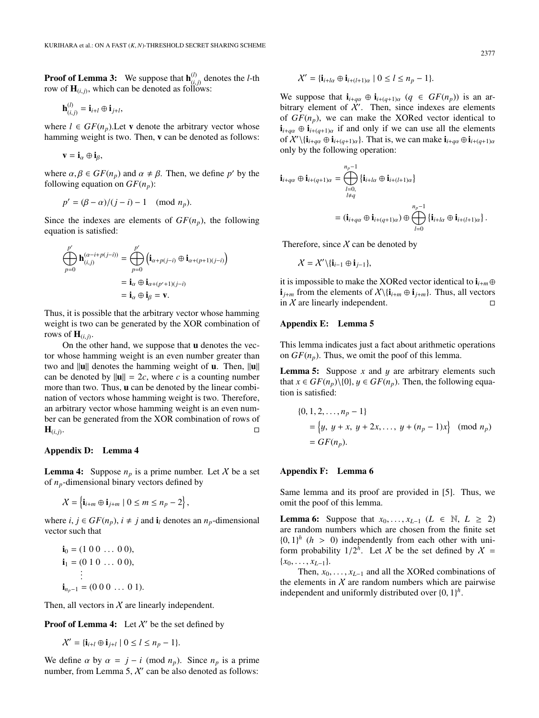**Proof of Lemma 3:** We suppose that  $\mathbf{h}_{(i)}^{(l)}$  denotes the *l*-th row of  $\mathbf{H}_{(i)}$ , which can be denoted as follows: row of  $\mathbf{H}_{(i,j)}$ , which can be denoted as follows:

$$
\mathbf{h}_{(i,j)}^{(l)} = \mathbf{i}_{i+l} \oplus \mathbf{i}_{j+l},
$$

where  $l \in GF(n_p)$ . Let **v** denote the arbitrary vector whose hamming weight is two. Then, **v** can be denoted as follows:

$$
\mathbf{v}=\mathbf{i}_{\alpha}\oplus\mathbf{i}_{\beta},
$$

where  $\alpha, \beta \in GF(n_p)$  and  $\alpha \neq \beta$ . Then, we define *p'* by the following equation on  $GF(n)$ . following equation on  $GF(n_p)$ :

$$
p' = (\beta - \alpha)/(j - i) - 1 \pmod{n_p}.
$$

Since the indexes are elements of  $GF(n_p)$ , the following equation is satisfied:

$$
\bigoplus_{p=0}^{p'} \mathbf{h}_{(i,j)}^{(\alpha-i+p(j-i))} = \bigoplus_{p=0}^{p'} \left( \mathbf{i}_{\alpha+p(j-i)} \oplus \mathbf{i}_{\alpha+(p+1)(j-i)} \right)
$$

$$
= \mathbf{i}_{\alpha} \oplus \mathbf{i}_{\alpha+(p'+1)(j-i)} = \mathbf{i}_{\alpha} \oplus \mathbf{i}_{\beta} = \mathbf{v}.
$$

Thus, it is possible that the arbitrary vector whose hamming weight is two can be generated by the XOR combination of rows of  $\mathbf{H}_{(i,j)}$ .

On the other hand, we suppose that **u** denotes the vector whose hamming weight is an even number greater than two and ||**u**|| denotes the hamming weight of **u**. Then, ||**u**|| can be denoted by  $\|\mathbf{u}\| = 2c$ , where *c* is a counting number more than two. Thus, **u** can be denoted by the linear combination of vectors whose hamming weight is two. Therefore, an arbitrary vector whose hamming weight is an even number can be generated from the XOR combination of rows of  $\mathbf{H}_{(i,j)}$ .

## **Appendix D: Lemma 4**

**Lemma 4:** Suppose  $n_p$  is a prime number. Let X be a set of  $n_p$ -dimensional binary vectors defined by

$$
\mathcal{X} = \left\{ \mathbf{i}_{i+m} \oplus \mathbf{i}_{j+m} \mid 0 \leq m \leq n_p - 2 \right\},\
$$

where *i*,  $j \in GF(n_p)$ ,  $i \neq j$  and  $\mathbf{i}_l$  denotes an  $n_p$ -dimensional vector such that vector such that

$$
\mathbf{i}_0 = (1 \ 0 \ 0 \ \dots \ 0 \ 0),
$$
  
\n
$$
\mathbf{i}_1 = (0 \ 1 \ 0 \ \dots \ 0 \ 0),
$$
  
\n
$$
\vdots
$$
  
\n
$$
\mathbf{i}_{n_p-1} = (0 \ 0 \ 0 \ \dots \ 0 \ 1).
$$

Then, all vectors in  $X$  are linearly independent.

**Proof of Lemma 4:** Let  $X'$  be the set defined by

$$
\mathcal{X}' = \{ \mathbf{i}_{i+l} \oplus \mathbf{i}_{j+l} \mid 0 \le l \le n_p - 1 \}.
$$

We define  $\alpha$  by  $\alpha = j - i \pmod{n_p}$ . Since  $n_p$  is a prime number, from Lemma 5,  $X'$  can be also denoted as follows:

$$
\mathcal{X}' = \{ \mathbf{i}_{i+l\alpha} \oplus \mathbf{i}_{i+(l+1)\alpha} \mid 0 \le l \le n_p - 1 \}.
$$

We suppose that  $\mathbf{i}_{i+q\alpha} \oplus \mathbf{i}_{i+(q+1)\alpha}$  ( $q \in GF(n_p)$ ) is an arbitrary element of  $\mathcal{X}'$ . Then, since indexes are elements of  $GF(n_p)$ , we can make the XORed vector identical to  $\mathbf{i}_{i+q\alpha} \oplus \mathbf{i}_{i+(q+1)\alpha}$  if and only if we can use all the elements of  $\mathcal{X}'\setminus\{\mathbf{i}_{i+q\alpha} \oplus \mathbf{i}_{i+(q+1)\alpha}\}\$ . That is, we can make  $\mathbf{i}_{i+q\alpha} \oplus \mathbf{i}_{i+(q+1)\alpha}\$ only by the following operation:

$$
\mathbf{i}_{i+q\alpha} \oplus \mathbf{i}_{i+(q+1)\alpha} = \bigoplus_{l=0}^{n_p-1} \{ \mathbf{i}_{i+l\alpha} \oplus \mathbf{i}_{i+(l+1)\alpha} \}
$$

$$
= (\mathbf{i}_{i+q\alpha} \oplus \mathbf{i}_{i+(q+1)\alpha}) \oplus \bigoplus_{l=0}^{n_p-1} \{ \mathbf{i}_{i+l\alpha} \oplus \mathbf{i}_{i+(l+1)\alpha} \}.
$$

Therefore, since  $X$  can be denoted by

$$
X = X' \setminus \{ \mathbf{i}_{i-1} \oplus \mathbf{i}_{j-1} \},
$$

it is impossible to make the XORed vector identical to  $\mathbf{i}_{i+m}$  $\oplus$  $\mathbf{i}_{i+m}$  from the elements of  $\mathcal{X}\backslash{\mathbf{i}_{i+m}} \oplus \mathbf{i}_{i+m}$ . Thus, all vectors in  $X$  are linearly independent.  $\Box$ 

## **Appendix E: Lemma 5**

This lemma indicates just a fact about arithmetic operations on  $GF(n_p)$ . Thus, we omit the poof of this lemma.

**Lemma 5:** Suppose *x* and *y* are arbitrary elements such that  $x \in GF(n_p) \setminus \{0\}, y \in GF(n_p)$ . Then, the following equation is satisfied:

$$
\{0, 1, 2, ..., n_p - 1\}
$$
  
= {y, y + x, y + 2x, ..., y + (n<sub>p</sub> - 1)x} (mod n<sub>p</sub>)  
= GF(n<sub>p</sub>).

## **Appendix F: Lemma 6**

Same lemma and its proof are provided in [5]. Thus, we omit the poof of this lemma.

**Lemma 6:** Suppose that  $x_0, \ldots, x_{L-1}$  ( $L \in \mathbb{N}, L \ge 2$ ) are random numbers which are chosen from the finite set  $\{0, 1\}^h$  (*h* > 0) independently from each other with uni-<br>form probability  $1/2^h$ . Let X be the set defined by X – form probability  $1/2^h$ . Let X be the set defined by X =  ${x_0, \ldots, x_{L-1}}.$ 

Then, *<sup>x</sup>*0,..., *xL*<sup>−</sup><sup>1</sup> and all the XORed combinations of the elements in  $X$  are random numbers which are pairwise independent and uniformly distributed over  $\{0, 1\}^h$ .